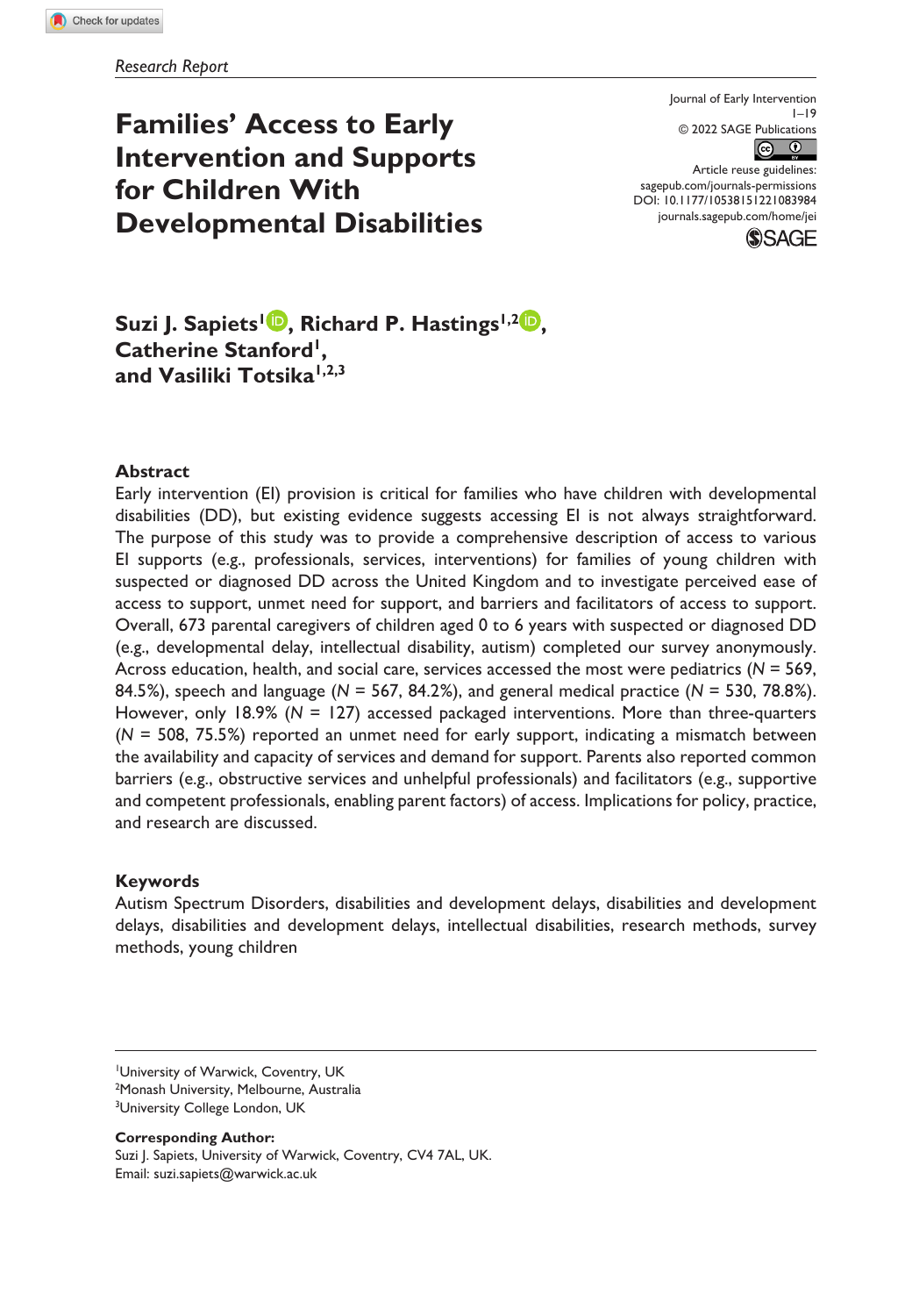**Families' Access to Early Intervention and Supports for Children With Developmental Disabilities**

 $1 - 19$ © 2022 SAGE Publications  $\circ$   $\circ$ Article reuse guidelines:

Journal of Early Intervention

DOI: 10.1177/10538151221083984

[sagepub.com/journals-permissions](https://us.sagepub.com/en-us/journals-permissions)



**Suzi J. Sapiets<sup>1</sup> <b>.** Richard P. Hastings<sup>1,2</sup> **.** Catherine Stanford<sup>1</sup>, **and Vasiliki Totsika1,2,3**

#### **Abstract**

Early intervention (EI) provision is critical for families who have children with developmental disabilities (DD), but existing evidence suggests accessing EI is not always straightforward. The purpose of this study was to provide a comprehensive description of access to various EI supports (e.g., professionals, services, interventions) for families of young children with suspected or diagnosed DD across the United Kingdom and to investigate perceived ease of access to support, unmet need for support, and barriers and facilitators of access to support. Overall, 673 parental caregivers of children aged 0 to 6 years with suspected or diagnosed DD (e.g., developmental delay, intellectual disability, autism) completed our survey anonymously. Across education, health, and social care, services accessed the most were pediatrics (*N* = 569, 84.5%), speech and language (*N* = 567, 84.2%), and general medical practice (*N* = 530, 78.8%). However, only 18.9% (*N* = 127) accessed packaged interventions. More than three-quarters (*N* = 508, 75.5%) reported an unmet need for early support, indicating a mismatch between the availability and capacity of services and demand for support. Parents also reported common barriers (e.g., obstructive services and unhelpful professionals) and facilitators (e.g., supportive and competent professionals, enabling parent factors) of access. Implications for policy, practice, and research are discussed.

### **Keywords**

Autism Spectrum Disorders, disabilities and development delays, disabilities and development delays, disabilities and development delays, intellectual disabilities, research methods, survey methods, young children

**Corresponding Author:**

Suzi J. Sapiets, University of Warwick, Coventry, CV4 7AL, UK. Email: [suzi.sapiets@warwick.ac.uk](mailto:suzi.sapiets@warwick.ac.uk)

<sup>1</sup> University of Warwick, Coventry, UK 2 Monash University, Melbourne, Australia

<sup>&</sup>lt;sup>3</sup>University College London, UK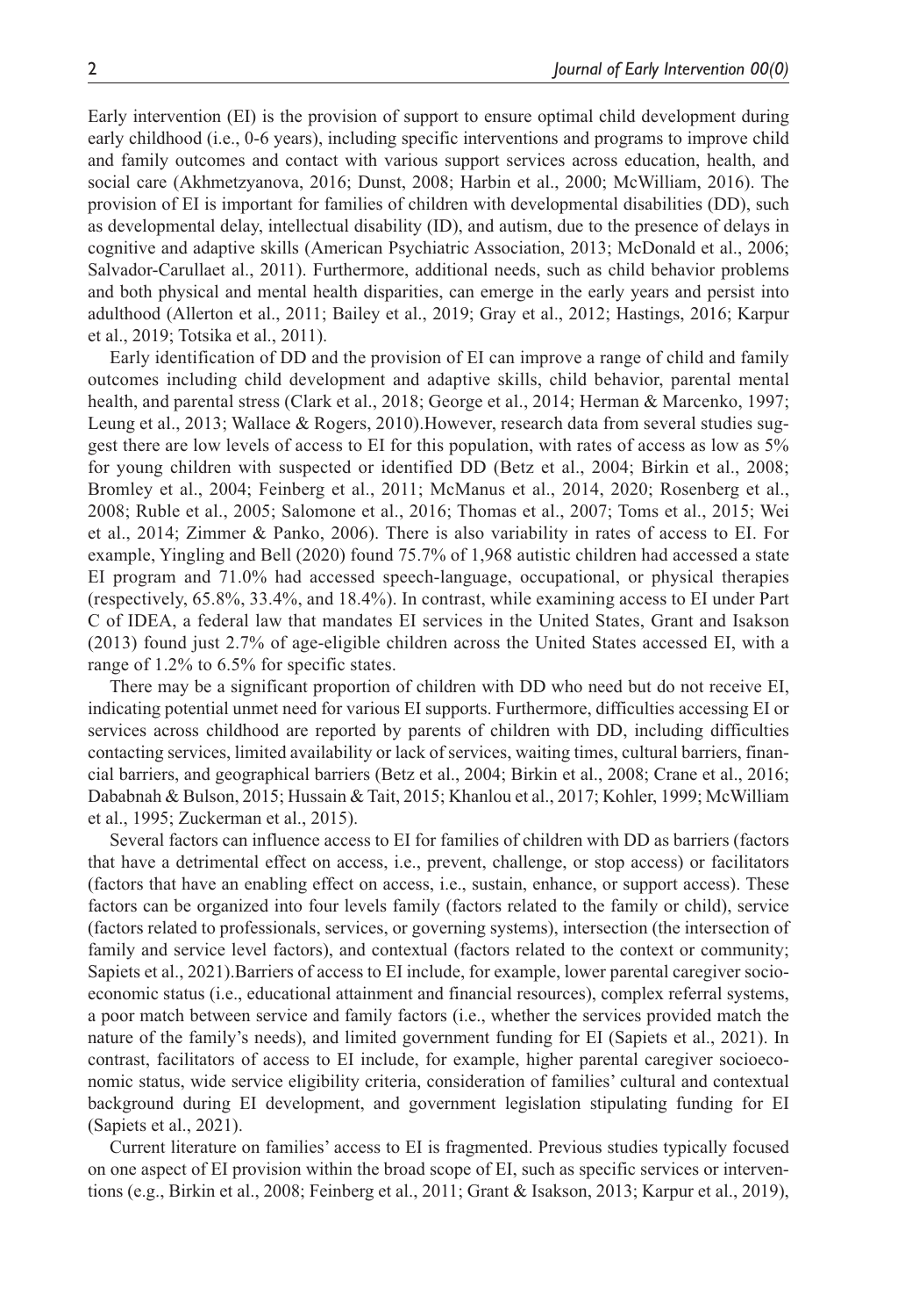Early intervention (EI) is the provision of support to ensure optimal child development during early childhood (i.e., 0-6 years), including specific interventions and programs to improve child and family outcomes and contact with various support services across education, health, and social care (Akhmetzyanova, 2016; Dunst, 2008; Harbin et al., 2000; McWilliam, 2016). The provision of EI is important for families of children with developmental disabilities (DD), such as developmental delay, intellectual disability (ID), and autism, due to the presence of delays in cognitive and adaptive skills (American Psychiatric Association, 2013; McDonald et al., 2006; Salvador-Carullaet al., 2011). Furthermore, additional needs, such as child behavior problems and both physical and mental health disparities, can emerge in the early years and persist into adulthood (Allerton et al., 2011; Bailey et al., 2019; Gray et al., 2012; Hastings, 2016; Karpur et al., 2019; Totsika et al., 2011).

Early identification of DD and the provision of EI can improve a range of child and family outcomes including child development and adaptive skills, child behavior, parental mental health, and parental stress (Clark et al., 2018; George et al., 2014; Herman & Marcenko, 1997; Leung et al., 2013; Wallace & Rogers, 2010).However, research data from several studies suggest there are low levels of access to EI for this population, with rates of access as low as 5% for young children with suspected or identified DD (Betz et al., 2004; Birkin et al., 2008; Bromley et al., 2004; Feinberg et al., 2011; McManus et al., 2014, 2020; Rosenberg et al., 2008; Ruble et al., 2005; Salomone et al., 2016; Thomas et al., 2007; Toms et al., 2015; Wei et al., 2014; Zimmer & Panko, 2006). There is also variability in rates of access to EI. For example, Yingling and Bell (2020) found 75.7% of 1,968 autistic children had accessed a state EI program and 71.0% had accessed speech-language, occupational, or physical therapies (respectively, 65.8%, 33.4%, and 18.4%). In contrast, while examining access to EI under Part C of IDEA, a federal law that mandates EI services in the United States, Grant and Isakson (2013) found just 2.7% of age-eligible children across the United States accessed EI, with a range of 1.2% to 6.5% for specific states.

There may be a significant proportion of children with DD who need but do not receive EI, indicating potential unmet need for various EI supports. Furthermore, difficulties accessing EI or services across childhood are reported by parents of children with DD, including difficulties contacting services, limited availability or lack of services, waiting times, cultural barriers, financial barriers, and geographical barriers (Betz et al., 2004; Birkin et al., 2008; Crane et al., 2016; Dababnah & Bulson, 2015; Hussain & Tait, 2015; Khanlou et al., 2017; Kohler, 1999; McWilliam et al., 1995; Zuckerman et al., 2015).

Several factors can influence access to EI for families of children with DD as barriers (factors that have a detrimental effect on access, i.e., prevent, challenge, or stop access) or facilitators (factors that have an enabling effect on access, i.e., sustain, enhance, or support access). These factors can be organized into four levels family (factors related to the family or child), service (factors related to professionals, services, or governing systems), intersection (the intersection of family and service level factors), and contextual (factors related to the context or community; Sapiets et al., 2021).Barriers of access to EI include, for example, lower parental caregiver socioeconomic status (i.e., educational attainment and financial resources), complex referral systems, a poor match between service and family factors (i.e., whether the services provided match the nature of the family's needs), and limited government funding for EI (Sapiets et al., 2021). In contrast, facilitators of access to EI include, for example, higher parental caregiver socioeconomic status, wide service eligibility criteria, consideration of families' cultural and contextual background during EI development, and government legislation stipulating funding for EI (Sapiets et al., 2021).

Current literature on families' access to EI is fragmented. Previous studies typically focused on one aspect of EI provision within the broad scope of EI, such as specific services or interventions (e.g., Birkin et al., 2008; Feinberg et al., 2011; Grant & Isakson, 2013; Karpur et al., 2019),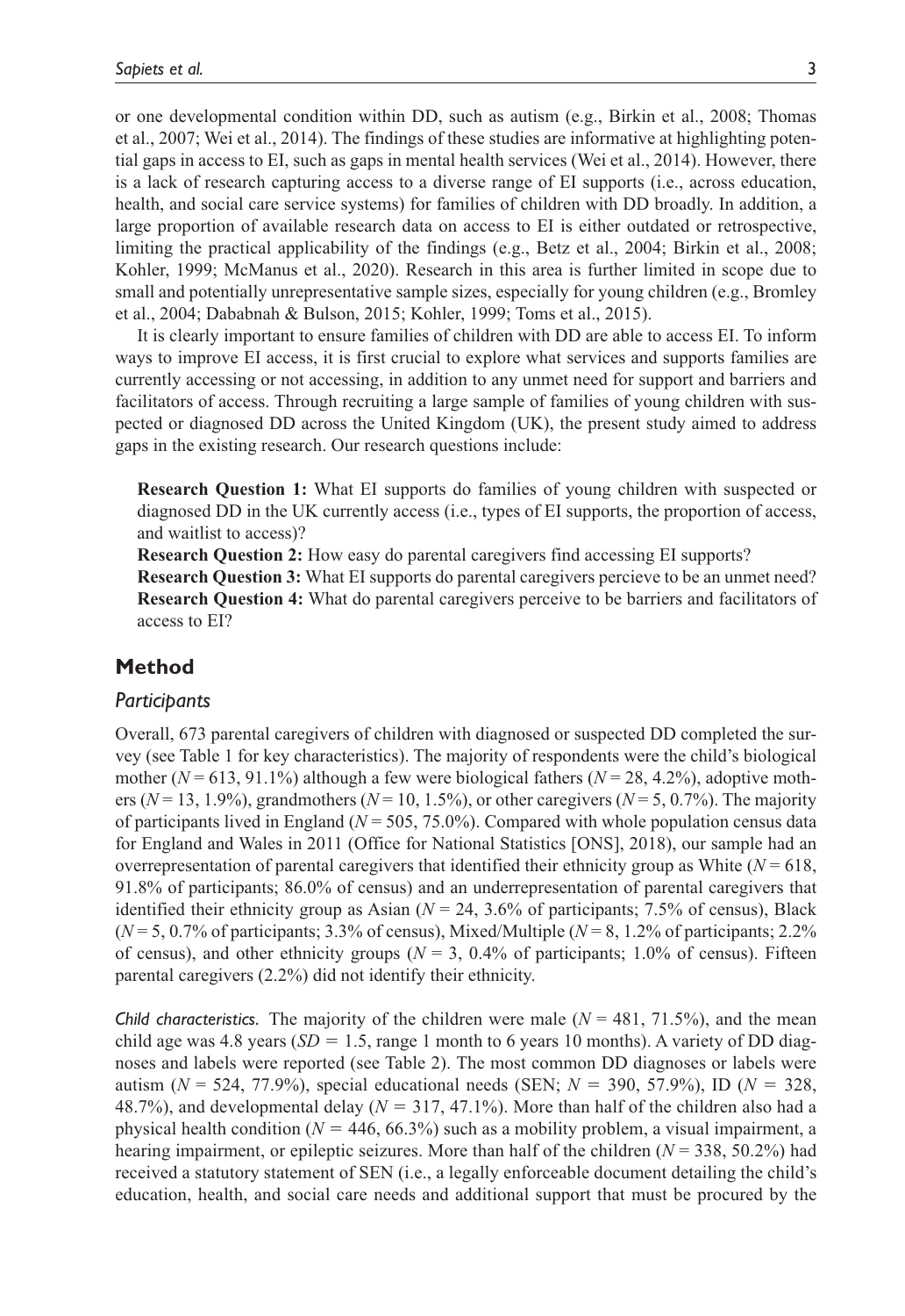or one developmental condition within DD, such as autism (e.g., Birkin et al., 2008; Thomas et al., 2007; Wei et al., 2014). The findings of these studies are informative at highlighting potential gaps in access to EI, such as gaps in mental health services (Wei et al., 2014). However, there is a lack of research capturing access to a diverse range of EI supports (i.e., across education, health, and social care service systems) for families of children with DD broadly. In addition, a large proportion of available research data on access to EI is either outdated or retrospective, limiting the practical applicability of the findings (e.g., Betz et al., 2004; Birkin et al., 2008; Kohler, 1999; McManus et al., 2020). Research in this area is further limited in scope due to small and potentially unrepresentative sample sizes, especially for young children (e.g., Bromley et al., 2004; Dababnah & Bulson, 2015; Kohler, 1999; Toms et al., 2015).

It is clearly important to ensure families of children with DD are able to access EI. To inform ways to improve EI access, it is first crucial to explore what services and supports families are currently accessing or not accessing, in addition to any unmet need for support and barriers and facilitators of access. Through recruiting a large sample of families of young children with suspected or diagnosed DD across the United Kingdom (UK), the present study aimed to address gaps in the existing research. Our research questions include:

**Research Question 1:** What EI supports do families of young children with suspected or diagnosed DD in the UK currently access (i.e., types of EI supports, the proportion of access, and waitlist to access)?

**Research Question 2:** How easy do parental caregivers find accessing EI supports?

**Research Question 3:** What EI supports do parental caregivers percieve to be an unmet need? **Research Question 4:** What do parental caregivers perceive to be barriers and facilitators of access to EI?

## **Method**

### *Participants*

Overall, 673 parental caregivers of children with diagnosed or suspected DD completed the survey (see Table 1 for key characteristics). The majority of respondents were the child's biological mother ( $N = 613$ , 91.1%) although a few were biological fathers ( $N = 28$ , 4.2%), adoptive mothers ( $N = 13, 1.9\%$ ), grandmothers ( $N = 10, 1.5\%$ ), or other caregivers ( $N = 5, 0.7\%$ ). The majority of participants lived in England ( $N = 505, 75.0\%$ ). Compared with whole population census data for England and Wales in 2011 (Office for National Statistics [ONS], 2018), our sample had an overrepresentation of parental caregivers that identified their ethnicity group as White  $(N = 618)$ , 91.8% of participants; 86.0% of census) and an underrepresentation of parental caregivers that identified their ethnicity group as Asian  $(N = 24, 3.6\%$  of participants; 7.5% of census), Black  $(N=5, 0.7\%$  of participants; 3.3% of census), Mixed/Multiple  $(N=8, 1.2\%$  of participants; 2.2% of census), and other ethnicity groups ( $N = 3$ , 0.4% of participants; 1.0% of census). Fifteen parental caregivers (2.2%) did not identify their ethnicity.

*Child characteristics.* The majority of the children were male  $(N = 481, 71.5\%)$ , and the mean child age was 4.8 years ( $SD = 1.5$ , range 1 month to 6 years 10 months). A variety of DD diagnoses and labels were reported (see Table 2). The most common DD diagnoses or labels were autism (*N* = 524, 77.9%), special educational needs (SEN; *N* = 390, 57.9%), ID (*N* = 328, 48.7%), and developmental delay ( $N = 317, 47.1\%$ ). More than half of the children also had a physical health condition ( $N = 446, 66.3\%$ ) such as a mobility problem, a visual impairment, a hearing impairment, or epileptic seizures. More than half of the children  $(N = 338, 50.2\%)$  had received a statutory statement of SEN (i.e., a legally enforceable document detailing the child's education, health, and social care needs and additional support that must be procured by the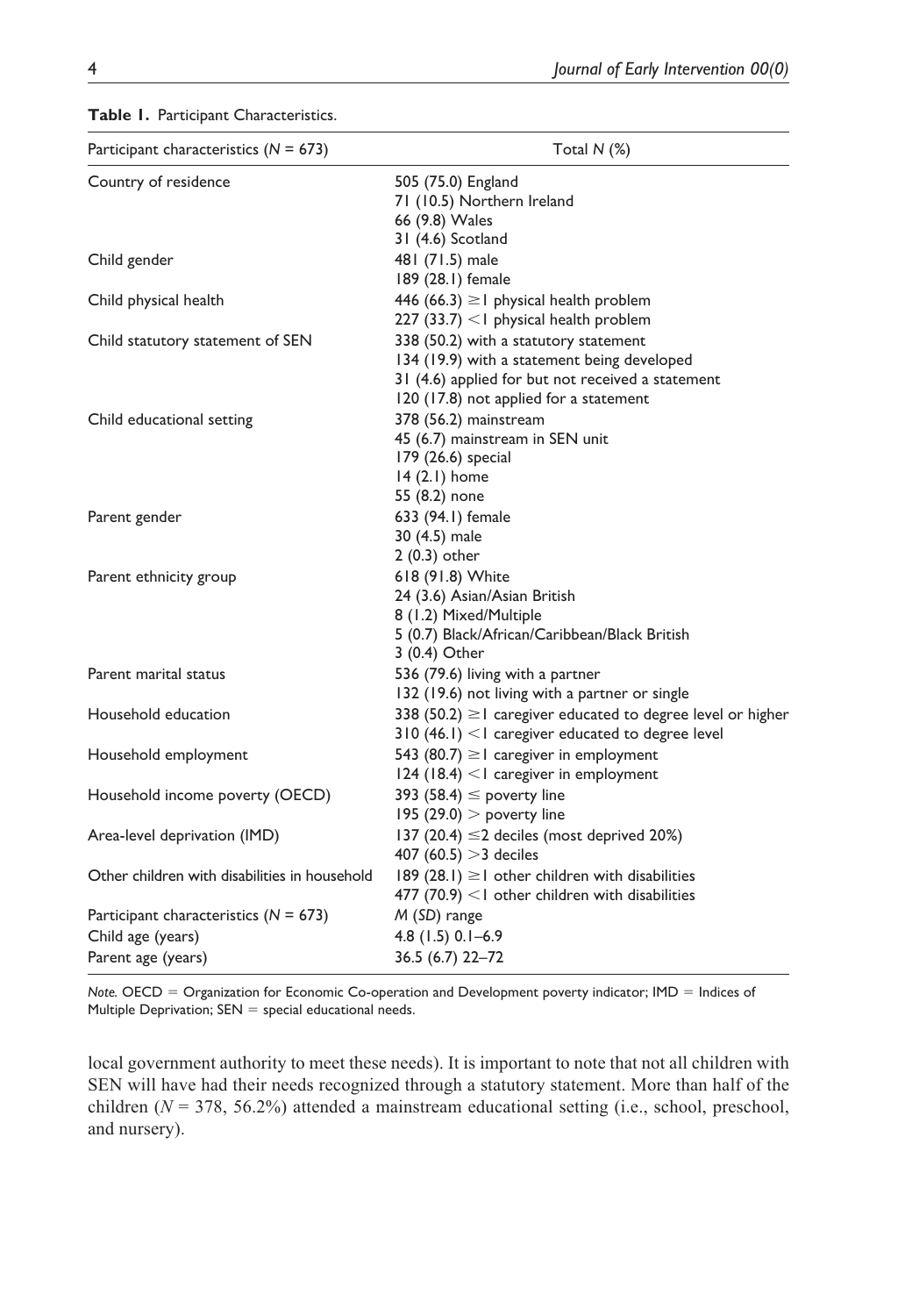| Participant characteristics ( $N = 673$ )     | Total $N$ $(\%)$                                                   |  |  |  |  |  |
|-----------------------------------------------|--------------------------------------------------------------------|--|--|--|--|--|
| Country of residence                          | 505 (75.0) England<br>71 (10.5) Northern Ireland<br>66 (9.8) Wales |  |  |  |  |  |
| Child gender                                  | 31 (4.6) Scotland<br>481 (71.5) male                               |  |  |  |  |  |
|                                               | 189 (28.1) female                                                  |  |  |  |  |  |
| Child physical health                         | 446 (66.3) $\geq$ l physical health problem                        |  |  |  |  |  |
|                                               | 227 $(33.7)$ < I physical health problem                           |  |  |  |  |  |
| Child statutory statement of SEN              | 338 (50.2) with a statutory statement                              |  |  |  |  |  |
|                                               | 134 (19.9) with a statement being developed                        |  |  |  |  |  |
|                                               | 31 (4.6) applied for but not received a statement                  |  |  |  |  |  |
|                                               | 120 (17.8) not applied for a statement                             |  |  |  |  |  |
| Child educational setting                     | 378 (56.2) mainstream                                              |  |  |  |  |  |
|                                               | 45 (6.7) mainstream in SEN unit                                    |  |  |  |  |  |
|                                               | 179 (26.6) special                                                 |  |  |  |  |  |
|                                               | $14(2.1)$ home                                                     |  |  |  |  |  |
|                                               | 55 (8.2) none                                                      |  |  |  |  |  |
| Parent gender                                 | 633 (94.1) female                                                  |  |  |  |  |  |
|                                               | 30 (4.5) male                                                      |  |  |  |  |  |
|                                               | 2 (0.3) other                                                      |  |  |  |  |  |
| Parent ethnicity group                        | 618 (91.8) White                                                   |  |  |  |  |  |
|                                               | 24 (3.6) Asian/Asian British                                       |  |  |  |  |  |
|                                               | 8 (1.2) Mixed/Multiple                                             |  |  |  |  |  |
|                                               | 5 (0.7) Black/African/Caribbean/Black British                      |  |  |  |  |  |
|                                               | 3 (0.4) Other                                                      |  |  |  |  |  |
| Parent marital status                         | 536 (79.6) living with a partner                                   |  |  |  |  |  |
|                                               | 132 (19.6) not living with a partner or single                     |  |  |  |  |  |
| Household education                           | 338 (50.2) $\geq$ l caregiver educated to degree level or higher   |  |  |  |  |  |
|                                               | $310$ (46.1) <1 caregiver educated to degree level                 |  |  |  |  |  |
| Household employment                          | 543 (80.7) $\geq$ caregiver in employment                          |  |  |  |  |  |
|                                               | $124$ (18.4) < I caregiver in employment                           |  |  |  |  |  |
| Household income poverty (OECD)               | 393 (58.4) $\leq$ poverty line                                     |  |  |  |  |  |
|                                               | 195 $(29.0)$ > poverty line                                        |  |  |  |  |  |
| Area-level deprivation (IMD)                  | 137 (20.4) ≤2 deciles (most deprived 20%)                          |  |  |  |  |  |
|                                               | 407 (60.5) $>3$ deciles                                            |  |  |  |  |  |
| Other children with disabilities in household | 189 (28.1) $\geq$ 1 other children with disabilities               |  |  |  |  |  |
|                                               | 477 (70.9) $<$ l other children with disabilities                  |  |  |  |  |  |
| Participant characteristics ( $N = 673$ )     | M (SD) range                                                       |  |  |  |  |  |
| Child age (years)                             | 4.8 (1.5) 0.1-6.9                                                  |  |  |  |  |  |
| Parent age (years)                            | 36.5 (6.7) 22-72                                                   |  |  |  |  |  |

**Table 1.** Participant Characteristics.

*Note.* OECD = Organization for Economic Co-operation and Development poverty indicator; IMD = Indices of Multiple Deprivation;  $SEN =$  special educational needs.

local government authority to meet these needs). It is important to note that not all children with SEN will have had their needs recognized through a statutory statement. More than half of the children (*N* = 378, 56.2%) attended a mainstream educational setting (i.e., school, preschool, and nursery).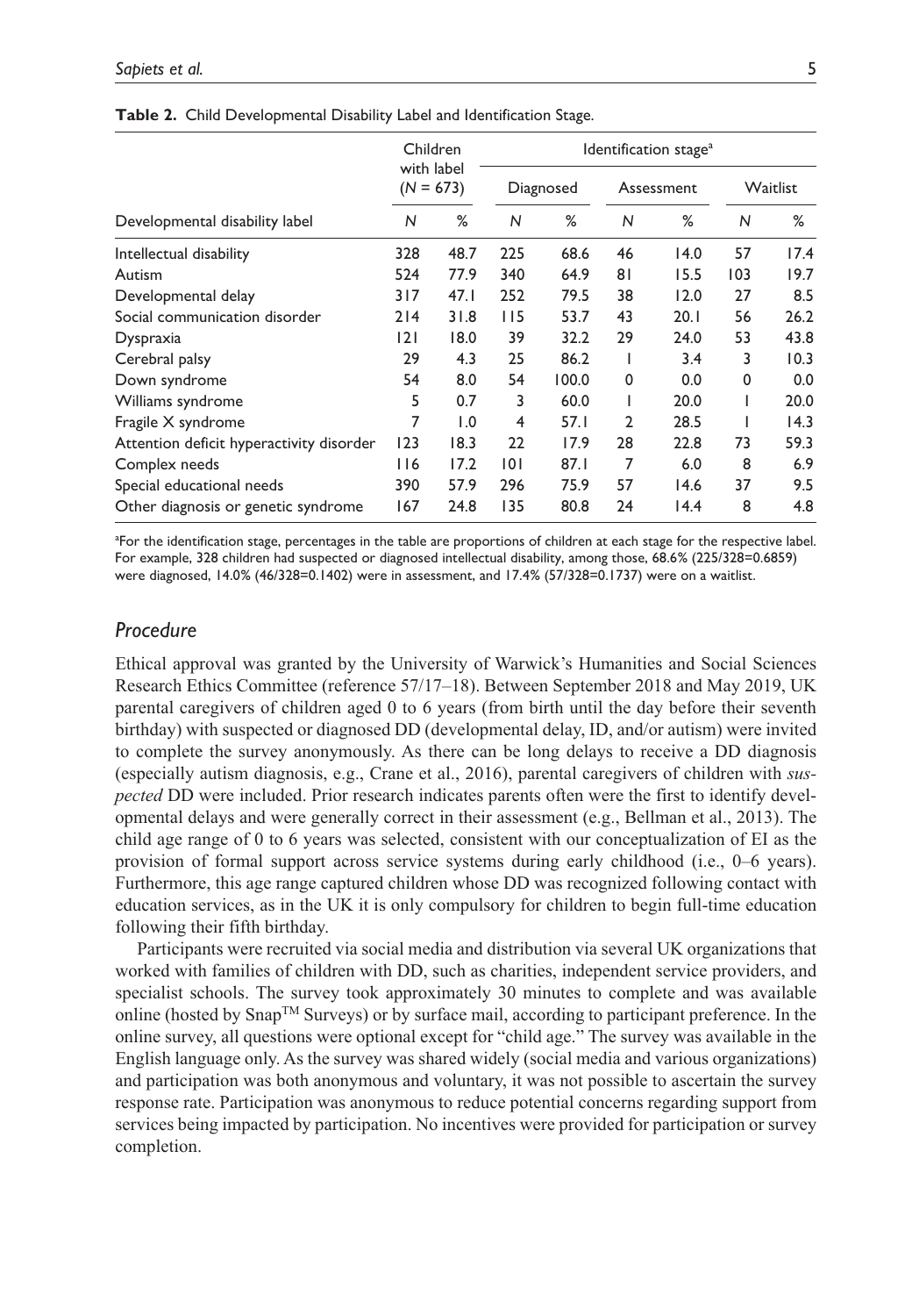| Developmental disability label           | Children<br>with label<br>$(N = 673)$ |      | Identification stage <sup>a</sup> |       |            |      |              |      |
|------------------------------------------|---------------------------------------|------|-----------------------------------|-------|------------|------|--------------|------|
|                                          |                                       |      | Diagnosed                         |       | Assessment |      | Waitlist     |      |
|                                          | N                                     | %    | N                                 | %     | N          | %    | $\mathsf{N}$ | %    |
| Intellectual disability                  | 328                                   | 48.7 | 225                               | 68.6  | 46         | 14.0 | 57           | 17.4 |
| Autism                                   | 524                                   | 77.9 | 340                               | 64.9  | 81         | 15.5 | 103          | 19.7 |
| Developmental delay                      | 317                                   | 47.1 | 252                               | 79.5  | 38         | 12.0 | 27           | 8.5  |
| Social communication disorder            | 214                                   | 31.8 | 115                               | 53.7  | 43         | 20.1 | 56           | 26.2 |
| Dyspraxia                                | 2                                     | 18.0 | 39                                | 32.2  | 29         | 24.0 | 53           | 43.8 |
| Cerebral palsy                           | 29                                    | 4.3  | 25                                | 86.2  | I          | 3.4  | 3            | 10.3 |
| Down syndrome                            | 54                                    | 8.0  | 54                                | 100.0 | 0          | 0.0  | 0            | 0.0  |
| Williams syndrome                        | 5                                     | 0.7  | 3                                 | 60.0  | I          | 20.0 |              | 20.0 |
| Fragile X syndrome                       | 7                                     | 1.0  | 4                                 | 57.I  | 2          | 28.5 |              | 14.3 |
| Attention deficit hyperactivity disorder | 123                                   | 18.3 | 22                                | 17.9  | 28         | 22.8 | 73           | 59.3 |
| Complex needs                            | 116                                   | 17.2 | 0                                 | 87.1  | 7          | 6.0  | 8            | 6.9  |
| Special educational needs                | 390                                   | 57.9 | 296                               | 75.9  | 57         | 14.6 | 37           | 9.5  |
| Other diagnosis or genetic syndrome      | 167                                   | 24.8 | 135                               | 80.8  | 24         | 14.4 | 8            | 4.8  |

**Table 2.** Child Developmental Disability Label and Identification Stage.

<sup>a</sup>For the identification stage, percentages in the table are proportions of children at each stage for the respective label. For example, 328 children had suspected or diagnosed intellectual disability, among those, 68.6% (225/328=0.6859) were diagnosed, 14.0% (46/328=0.1402) were in assessment, and 17.4% (57/328=0.1737) were on a waitlist.

### *Procedure*

Ethical approval was granted by the University of Warwick's Humanities and Social Sciences Research Ethics Committee (reference 57/17–18). Between September 2018 and May 2019, UK parental caregivers of children aged 0 to 6 years (from birth until the day before their seventh birthday) with suspected or diagnosed DD (developmental delay, ID, and/or autism) were invited to complete the survey anonymously. As there can be long delays to receive a DD diagnosis (especially autism diagnosis, e.g., Crane et al., 2016), parental caregivers of children with *suspected* DD were included. Prior research indicates parents often were the first to identify developmental delays and were generally correct in their assessment (e.g., Bellman et al., 2013). The child age range of 0 to 6 years was selected, consistent with our conceptualization of EI as the provision of formal support across service systems during early childhood (i.e., 0–6 years). Furthermore, this age range captured children whose DD was recognized following contact with education services, as in the UK it is only compulsory for children to begin full-time education following their fifth birthday.

Participants were recruited via social media and distribution via several UK organizations that worked with families of children with DD, such as charities, independent service providers, and specialist schools. The survey took approximately 30 minutes to complete and was available online (hosted by  $\text{Snap}^{\text{TM}}$  Surveys) or by surface mail, according to participant preference. In the online survey, all questions were optional except for "child age." The survey was available in the English language only. As the survey was shared widely (social media and various organizations) and participation was both anonymous and voluntary, it was not possible to ascertain the survey response rate. Participation was anonymous to reduce potential concerns regarding support from services being impacted by participation. No incentives were provided for participation or survey completion.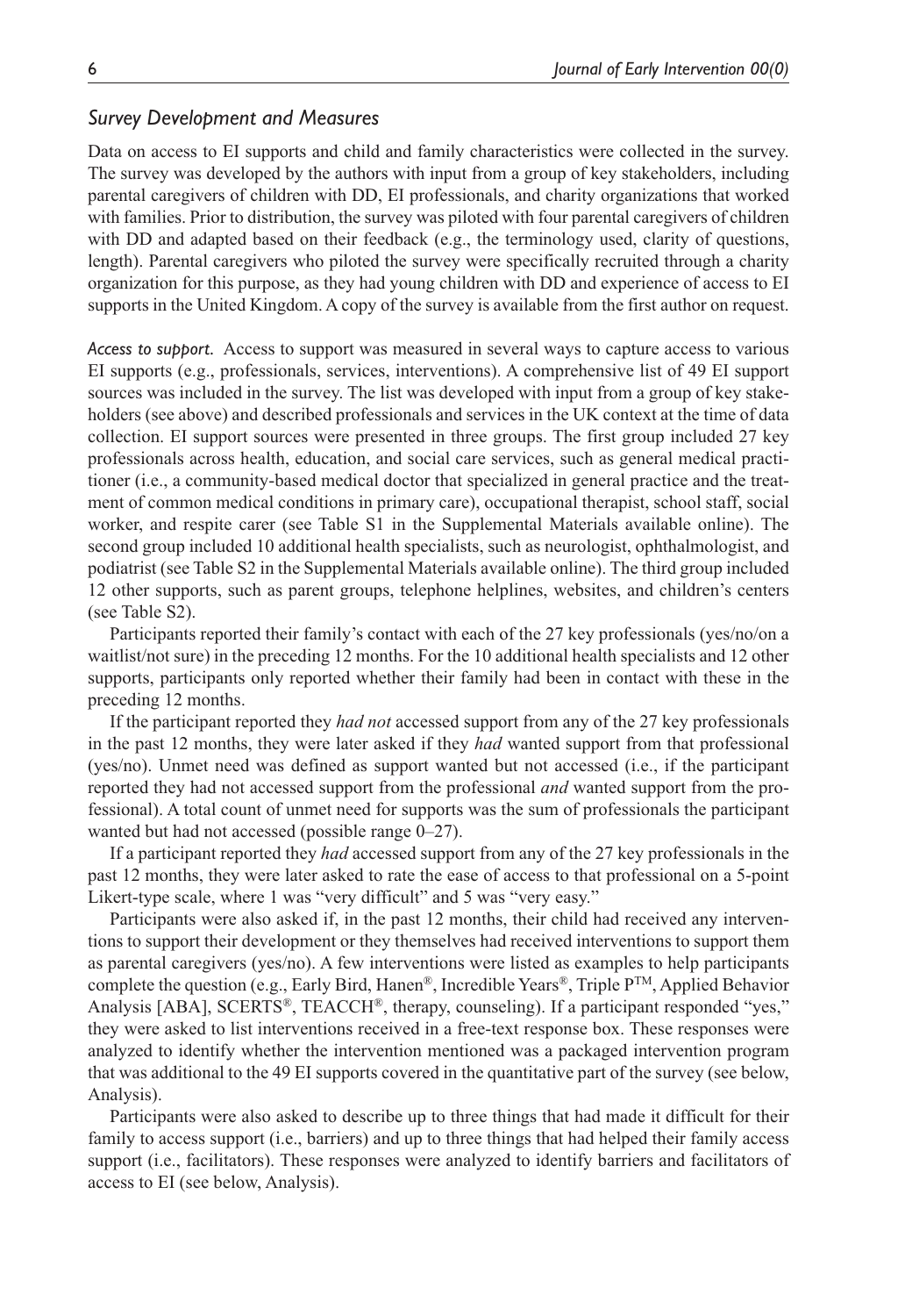### *Survey Development and Measures*

Data on access to EI supports and child and family characteristics were collected in the survey. The survey was developed by the authors with input from a group of key stakeholders, including parental caregivers of children with DD, EI professionals, and charity organizations that worked with families. Prior to distribution, the survey was piloted with four parental caregivers of children with DD and adapted based on their feedback (e.g., the terminology used, clarity of questions, length). Parental caregivers who piloted the survey were specifically recruited through a charity organization for this purpose, as they had young children with DD and experience of access to EI supports in the United Kingdom. A copy of the survey is available from the first author on request.

*Access to support.* Access to support was measured in several ways to capture access to various EI supports (e.g., professionals, services, interventions). A comprehensive list of 49 EI support sources was included in the survey. The list was developed with input from a group of key stakeholders (see above) and described professionals and services in the UK context at the time of data collection. EI support sources were presented in three groups. The first group included 27 key professionals across health, education, and social care services, such as general medical practitioner (i.e., a community-based medical doctor that specialized in general practice and the treatment of common medical conditions in primary care), occupational therapist, school staff, social worker, and respite carer (see Table S1 in the Supplemental Materials available online). The second group included 10 additional health specialists, such as neurologist, ophthalmologist, and podiatrist (see Table S2 in the Supplemental Materials available online). The third group included 12 other supports, such as parent groups, telephone helplines, websites, and children's centers (see Table S2).

Participants reported their family's contact with each of the 27 key professionals (yes/no/on a waitlist/not sure) in the preceding 12 months. For the 10 additional health specialists and 12 other supports, participants only reported whether their family had been in contact with these in the preceding 12 months.

If the participant reported they *had not* accessed support from any of the 27 key professionals in the past 12 months, they were later asked if they *had* wanted support from that professional (yes/no). Unmet need was defined as support wanted but not accessed (i.e., if the participant reported they had not accessed support from the professional *and* wanted support from the professional). A total count of unmet need for supports was the sum of professionals the participant wanted but had not accessed (possible range 0–27).

If a participant reported they *had* accessed support from any of the 27 key professionals in the past 12 months, they were later asked to rate the ease of access to that professional on a 5-point Likert-type scale, where 1 was "very difficult" and 5 was "very easy."

Participants were also asked if, in the past 12 months, their child had received any interventions to support their development or they themselves had received interventions to support them as parental caregivers (yes/no). A few interventions were listed as examples to help participants complete the question (e.g., Early Bird, Hanen<sup>®</sup>, Incredible Years<sup>®</sup>, Triple  $P^{TM}$ , Applied Behavior Analysis [ABA], SCERTS®, TEACCH®, therapy, counseling). If a participant responded "yes," they were asked to list interventions received in a free-text response box. These responses were analyzed to identify whether the intervention mentioned was a packaged intervention program that was additional to the 49 EI supports covered in the quantitative part of the survey (see below, Analysis).

Participants were also asked to describe up to three things that had made it difficult for their family to access support (i.e., barriers) and up to three things that had helped their family access support (i.e., facilitators). These responses were analyzed to identify barriers and facilitators of access to EI (see below, Analysis).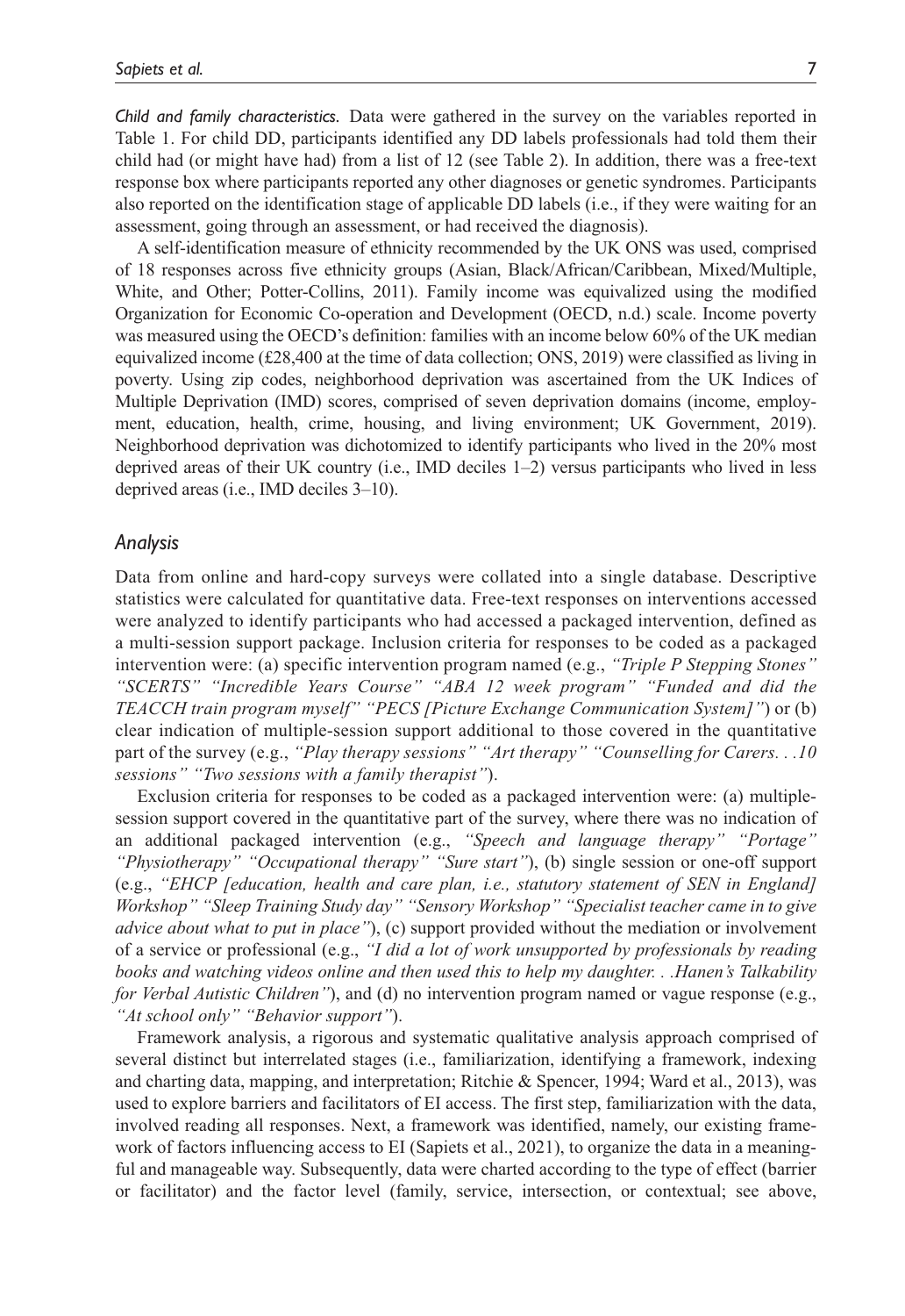*Child and family characteristics.* Data were gathered in the survey on the variables reported in Table 1. For child DD, participants identified any DD labels professionals had told them their child had (or might have had) from a list of 12 (see Table 2). In addition, there was a free-text response box where participants reported any other diagnoses or genetic syndromes. Participants also reported on the identification stage of applicable DD labels (i.e., if they were waiting for an assessment, going through an assessment, or had received the diagnosis).

A self-identification measure of ethnicity recommended by the UK ONS was used, comprised of 18 responses across five ethnicity groups (Asian, Black/African/Caribbean, Mixed/Multiple, White, and Other; Potter-Collins, 2011). Family income was equivalized using the modified Organization for Economic Co-operation and Development (OECD, n.d.) scale. Income poverty was measured using the OECD's definition: families with an income below 60% of the UK median equivalized income (£28,400 at the time of data collection; ONS, 2019) were classified as living in poverty. Using zip codes, neighborhood deprivation was ascertained from the UK Indices of Multiple Deprivation (IMD) scores, comprised of seven deprivation domains (income, employment, education, health, crime, housing, and living environment; UK Government, 2019). Neighborhood deprivation was dichotomized to identify participants who lived in the 20% most deprived areas of their UK country (i.e., IMD deciles 1–2) versus participants who lived in less deprived areas (i.e., IMD deciles 3–10).

#### *Analysis*

Data from online and hard-copy surveys were collated into a single database. Descriptive statistics were calculated for quantitative data. Free-text responses on interventions accessed were analyzed to identify participants who had accessed a packaged intervention, defined as a multi-session support package. Inclusion criteria for responses to be coded as a packaged intervention were: (a) specific intervention program named (e.g., *"Triple P Stepping Stones" "SCERTS" "Incredible Years Course" "ABA 12 week program" "Funded and did the TEACCH train program myself" "PECS [Picture Exchange Communication System]"*) or (b) clear indication of multiple-session support additional to those covered in the quantitative part of the survey (e.g., *"Play therapy sessions" "Art therapy" "Counselling for Carers. . .10 sessions" "Two sessions with a family therapist"*).

Exclusion criteria for responses to be coded as a packaged intervention were: (a) multiplesession support covered in the quantitative part of the survey, where there was no indication of an additional packaged intervention (e.g., *"Speech and language therapy" "Portage" "Physiotherapy" "Occupational therapy" "Sure start"*), (b) single session or one-off support (e.g., *"EHCP [education, health and care plan, i.e., statutory statement of SEN in England] Workshop" "Sleep Training Study day" "Sensory Workshop" "Specialist teacher came in to give advice about what to put in place"*), (c) support provided without the mediation or involvement of a service or professional (e.g., *"I did a lot of work unsupported by professionals by reading books and watching videos online and then used this to help my daughter. . .Hanen's Talkability for Verbal Autistic Children"*), and (d) no intervention program named or vague response (e.g., *"At school only" "Behavior support"*).

Framework analysis, a rigorous and systematic qualitative analysis approach comprised of several distinct but interrelated stages (i.e., familiarization, identifying a framework, indexing and charting data, mapping, and interpretation; Ritchie & Spencer, 1994; Ward et al., 2013), was used to explore barriers and facilitators of EI access. The first step, familiarization with the data, involved reading all responses. Next, a framework was identified, namely, our existing framework of factors influencing access to EI (Sapiets et al., 2021), to organize the data in a meaningful and manageable way. Subsequently, data were charted according to the type of effect (barrier or facilitator) and the factor level (family, service, intersection, or contextual; see above,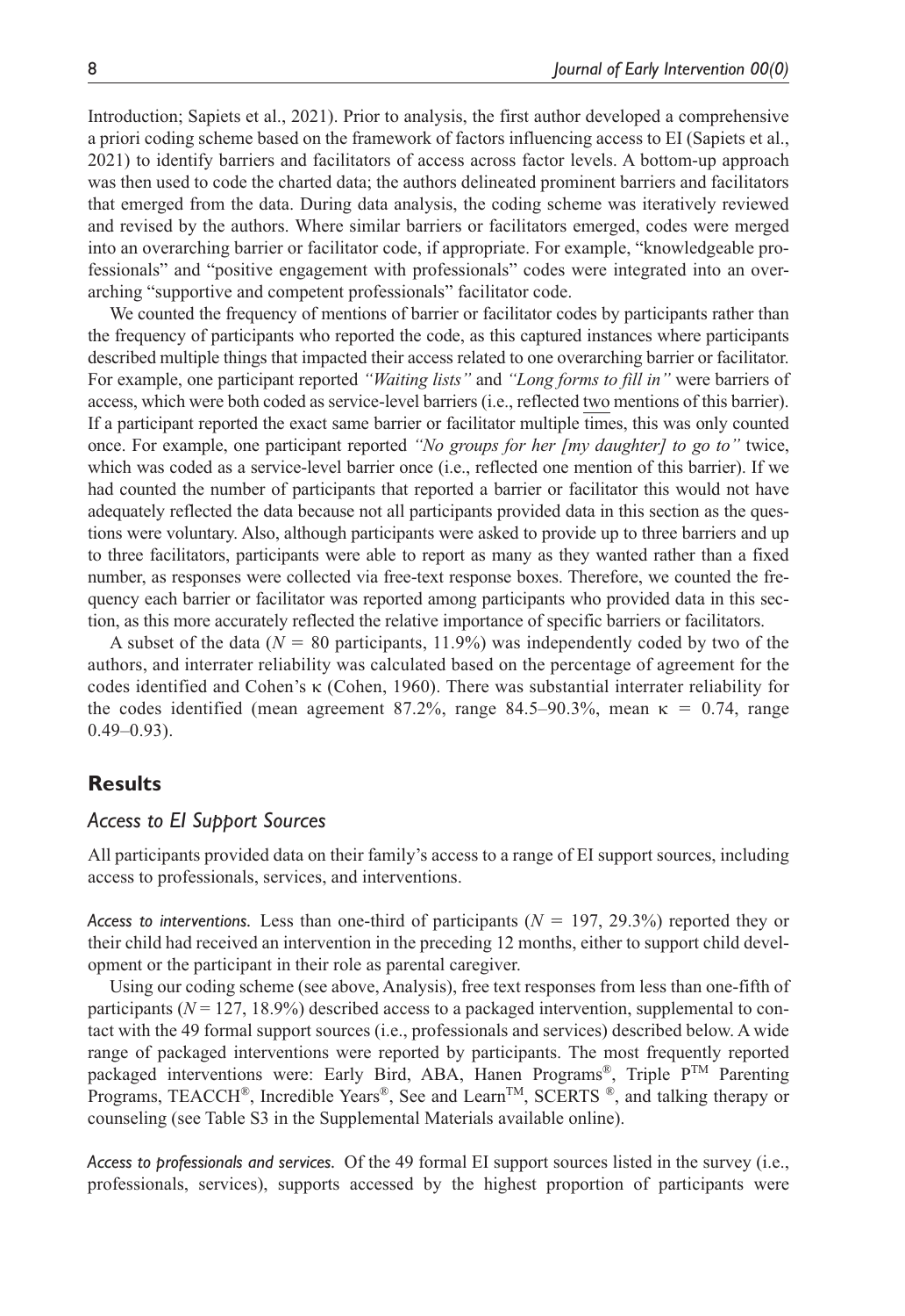Introduction; Sapiets et al., 2021). Prior to analysis, the first author developed a comprehensive a priori coding scheme based on the framework of factors influencing access to EI (Sapiets et al., 2021) to identify barriers and facilitators of access across factor levels. A bottom-up approach was then used to code the charted data; the authors delineated prominent barriers and facilitators that emerged from the data. During data analysis, the coding scheme was iteratively reviewed and revised by the authors. Where similar barriers or facilitators emerged, codes were merged into an overarching barrier or facilitator code, if appropriate. For example, "knowledgeable professionals" and "positive engagement with professionals" codes were integrated into an overarching "supportive and competent professionals" facilitator code.

We counted the frequency of mentions of barrier or facilitator codes by participants rather than the frequency of participants who reported the code, as this captured instances where participants described multiple things that impacted their access related to one overarching barrier or facilitator. For example, one participant reported *"Waiting lists"* and *"Long forms to fill in"* were barriers of access, which were both coded as service-level barriers (i.e., reflected two mentions of this barrier). If a participant reported the exact same barrier or facilitator multiple times, this was only counted once. For example, one participant reported *"No groups for her [my daughter] to go to"* twice, which was coded as a service-level barrier once (i.e., reflected one mention of this barrier). If we had counted the number of participants that reported a barrier or facilitator this would not have adequately reflected the data because not all participants provided data in this section as the questions were voluntary. Also, although participants were asked to provide up to three barriers and up to three facilitators, participants were able to report as many as they wanted rather than a fixed number, as responses were collected via free-text response boxes. Therefore, we counted the frequency each barrier or facilitator was reported among participants who provided data in this section, as this more accurately reflected the relative importance of specific barriers or facilitators.

A subset of the data  $(N = 80$  participants, 11.9%) was independently coded by two of the authors, and interrater reliability was calculated based on the percentage of agreement for the codes identified and Cohen's κ (Cohen, 1960). There was substantial interrater reliability for the codes identified (mean agreement 87.2%, range 84.5–90.3%, mean  $\kappa = 0.74$ , range  $0.49 - 0.93$ ).

### **Results**

#### *Access to EI Support Sources*

All participants provided data on their family's access to a range of EI support sources, including access to professionals, services, and interventions.

*Access to interventions.* Less than one-third of participants (*N* = 197, 29.3%) reported they or their child had received an intervention in the preceding 12 months, either to support child development or the participant in their role as parental caregiver.

Using our coding scheme (see above, Analysis), free text responses from less than one-fifth of participants  $(N = 127, 18.9\%)$  described access to a packaged intervention, supplemental to contact with the 49 formal support sources (i.e., professionals and services) described below. A wide range of packaged interventions were reported by participants. The most frequently reported packaged interventions were: Early Bird, ABA, Hanen Programs®, Triple PTM Parenting Programs, TEACCH®, Incredible Years®, See and Learn<sup>TM</sup>, SCERTS ®, and talking therapy or counseling (see Table S3 in the Supplemental Materials available online).

*Access to professionals and services.* Of the 49 formal EI support sources listed in the survey (i.e., professionals, services), supports accessed by the highest proportion of participants were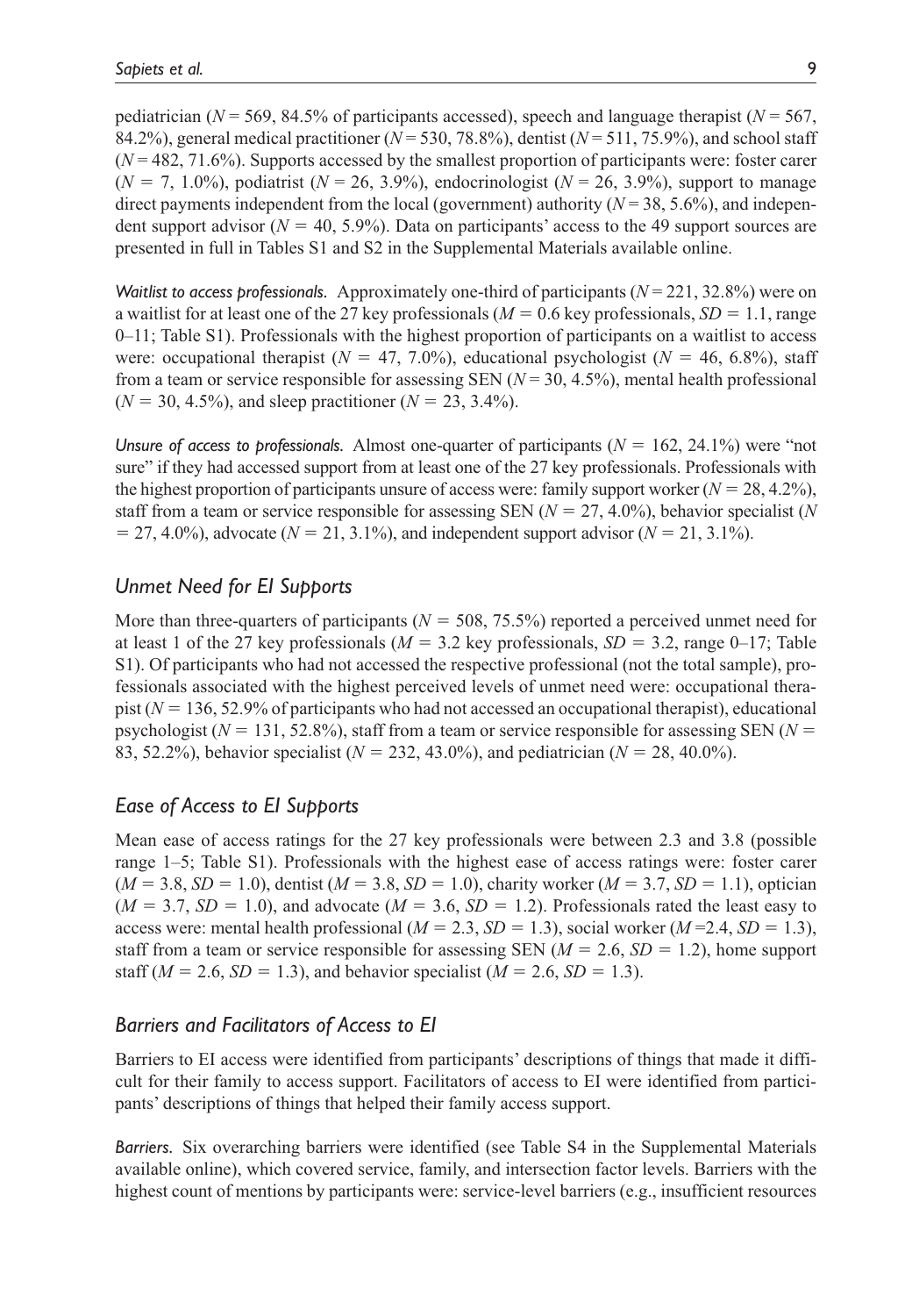pediatrician ( $N = 569$ , 84.5% of participants accessed), speech and language therapist ( $N = 567$ , 84.2%), general medical practitioner (*N* = 530, 78.8%), dentist (*N* = 511, 75.9%), and school staff (*N* = 482, 71.6%). Supports accessed by the smallest proportion of participants were: foster carer  $(N = 7, 1.0\%)$ , podiatrist  $(N = 26, 3.9\%)$ , endocrinologist  $(N = 26, 3.9\%)$ , support to manage direct payments independent from the local (government) authority (*N* = 38, 5.6%), and independent support advisor ( $N = 40, 5.9\%$ ). Data on participants' access to the 49 support sources are presented in full in Tables S1 and S2 in the Supplemental Materials available online.

*Waitlist to access professionals.* Approximately one-third of participants  $(N = 221, 32.8%)$  were on a waitlist for at least one of the 27 key professionals ( $M = 0.6$  key professionals,  $SD = 1.1$ , range 0–11; Table S1). Professionals with the highest proportion of participants on a waitlist to access were: occupational therapist ( $N = 47, 7.0\%$ ), educational psychologist ( $N = 46, 6.8\%$ ), staff from a team or service responsible for assessing SEN  $(N = 30, 4.5\%)$ , mental health professional  $(N = 30, 4.5\%)$ , and sleep practitioner  $(N = 23, 3.4\%)$ .

*Unsure of access to professionals.* Almost one-quarter of participants  $(N = 162, 24.1%)$  were "not sure" if they had accessed support from at least one of the 27 key professionals. Professionals with the highest proportion of participants unsure of access were: family support worker  $(N = 28, 4.2\%)$ , staff from a team or service responsible for assessing SEN  $(N = 27, 4.0\%)$ , behavior specialist (*N*  $= 27, 4.0\%$ ), advocate (*N* = 21, 3.1%), and independent support advisor (*N* = 21, 3.1%).

# *Unmet Need for EI Supports*

More than three-quarters of participants  $(N = 508, 75.5\%)$  reported a perceived unmet need for at least 1 of the 27 key professionals  $(M = 3.2$  key professionals,  $SD = 3.2$ , range 0–17; Table S1). Of participants who had not accessed the respective professional (not the total sample), professionals associated with the highest perceived levels of unmet need were: occupational therapist  $(N = 136, 52.9\%$  of participants who had not accessed an occupational therapist), educational psychologist ( $N = 131, 52.8\%$ ), staff from a team or service responsible for assessing SEN ( $N =$ 83, 52.2%), behavior specialist (*N* = 232, 43.0%), and pediatrician (*N* = 28, 40.0%).

## *Ease of Access to EI Supports*

Mean ease of access ratings for the 27 key professionals were between 2.3 and 3.8 (possible range 1–5; Table S1). Professionals with the highest ease of access ratings were: foster carer  $(M = 3.8, SD = 1.0)$ , dentist  $(M = 3.8, SD = 1.0)$ , charity worker  $(M = 3.7, SD = 1.1)$ , optician  $(M = 3.7, SD = 1.0)$ , and advocate  $(M = 3.6, SD = 1.2)$ . Professionals rated the least easy to access were: mental health professional  $(M = 2.3, SD = 1.3)$ , social worker  $(M = 2.4, SD = 1.3)$ , staff from a team or service responsible for assessing SEN  $(M = 2.6, SD = 1.2)$ , home support staff ( $M = 2.6$ ,  $SD = 1.3$ ), and behavior specialist ( $M = 2.6$ ,  $SD = 1.3$ ).

## *Barriers and Facilitators of Access to EI*

Barriers to EI access were identified from participants' descriptions of things that made it difficult for their family to access support. Facilitators of access to EI were identified from participants' descriptions of things that helped their family access support.

*Barriers.* Six overarching barriers were identified (see Table S4 in the Supplemental Materials available online), which covered service, family, and intersection factor levels. Barriers with the highest count of mentions by participants were: service-level barriers (e.g., insufficient resources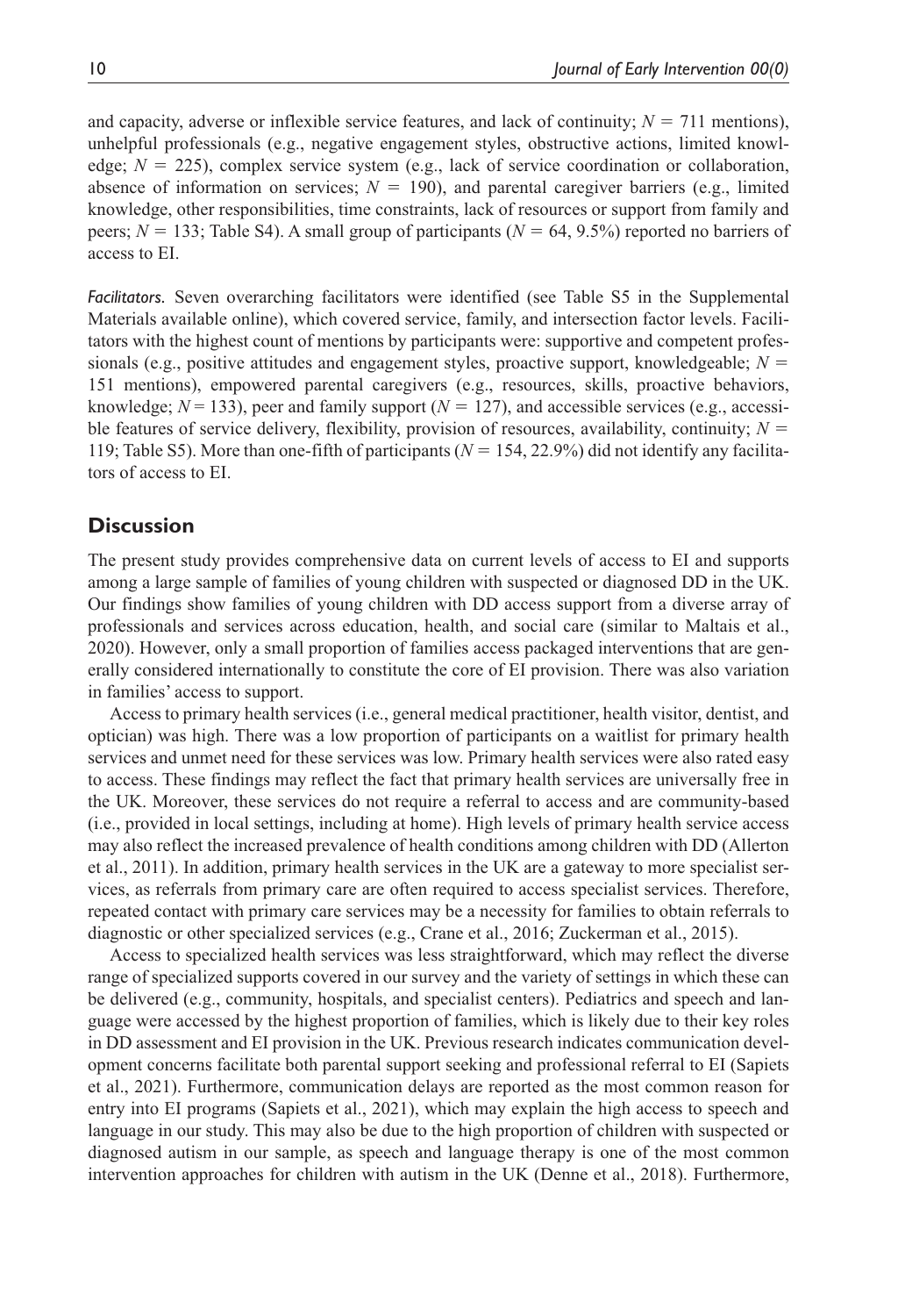and capacity, adverse or inflexible service features, and lack of continuity;  $N = 711$  mentions), unhelpful professionals (e.g., negative engagement styles, obstructive actions, limited knowledge;  $N = 225$ ), complex service system (e.g., lack of service coordination or collaboration, absence of information on services;  $N = 190$ ), and parental caregiver barriers (e.g., limited knowledge, other responsibilities, time constraints, lack of resources or support from family and peers; *N* = 133; Table S4). A small group of participants (*N* = 64, 9.5%) reported no barriers of access to EI.

*Facilitators.* Seven overarching facilitators were identified (see Table S5 in the Supplemental Materials available online), which covered service, family, and intersection factor levels. Facilitators with the highest count of mentions by participants were: supportive and competent professionals (e.g., positive attitudes and engagement styles, proactive support, knowledgeable;  $N =$ 151 mentions), empowered parental caregivers (e.g., resources, skills, proactive behaviors, knowledge;  $N = 133$ ), peer and family support ( $N = 127$ ), and accessible services (e.g., accessible features of service delivery, flexibility, provision of resources, availability, continuity;  $N =$ 119; Table S5). More than one-fifth of participants (*N* = 154, 22.9%) did not identify any facilitators of access to EI.

### **Discussion**

The present study provides comprehensive data on current levels of access to EI and supports among a large sample of families of young children with suspected or diagnosed DD in the UK. Our findings show families of young children with DD access support from a diverse array of professionals and services across education, health, and social care (similar to Maltais et al., 2020). However, only a small proportion of families access packaged interventions that are generally considered internationally to constitute the core of EI provision. There was also variation in families' access to support.

Access to primary health services (i.e., general medical practitioner, health visitor, dentist, and optician) was high. There was a low proportion of participants on a waitlist for primary health services and unmet need for these services was low. Primary health services were also rated easy to access. These findings may reflect the fact that primary health services are universally free in the UK. Moreover, these services do not require a referral to access and are community-based (i.e., provided in local settings, including at home). High levels of primary health service access may also reflect the increased prevalence of health conditions among children with DD (Allerton et al., 2011). In addition, primary health services in the UK are a gateway to more specialist services, as referrals from primary care are often required to access specialist services. Therefore, repeated contact with primary care services may be a necessity for families to obtain referrals to diagnostic or other specialized services (e.g., Crane et al., 2016; Zuckerman et al., 2015).

Access to specialized health services was less straightforward, which may reflect the diverse range of specialized supports covered in our survey and the variety of settings in which these can be delivered (e.g., community, hospitals, and specialist centers). Pediatrics and speech and language were accessed by the highest proportion of families, which is likely due to their key roles in DD assessment and EI provision in the UK. Previous research indicates communication development concerns facilitate both parental support seeking and professional referral to EI (Sapiets et al., 2021). Furthermore, communication delays are reported as the most common reason for entry into EI programs (Sapiets et al., 2021), which may explain the high access to speech and language in our study. This may also be due to the high proportion of children with suspected or diagnosed autism in our sample, as speech and language therapy is one of the most common intervention approaches for children with autism in the UK (Denne et al., 2018). Furthermore,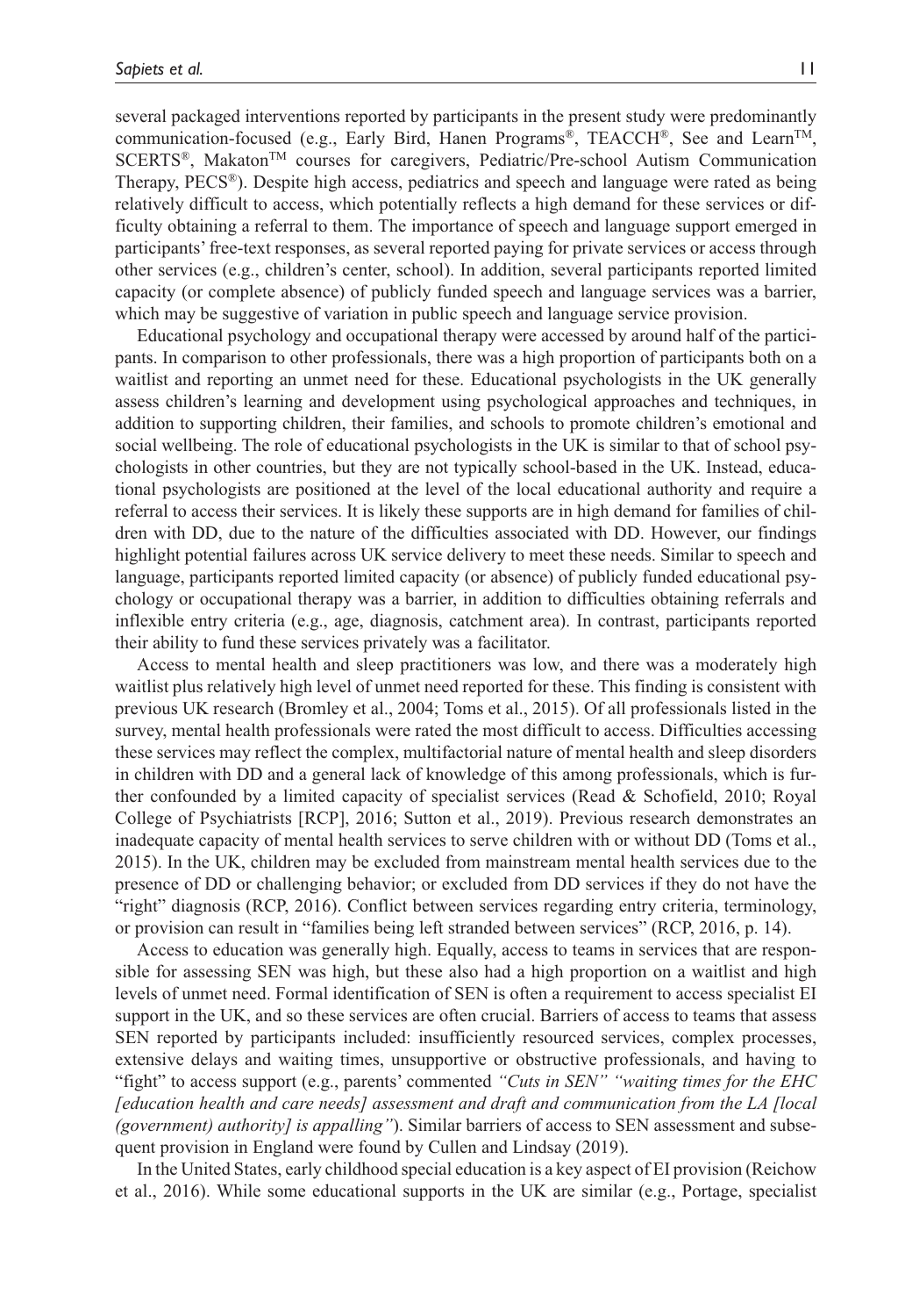several packaged interventions reported by participants in the present study were predominantly communication-focused (e.g., Early Bird, Hanen Programs®, TEACCH®, See and Learn<sup>TM</sup>, SCERTS®, MakatonTM courses for caregivers, Pediatric/Pre-school Autism Communication Therapy,  $\text{PECS}^{\circledast}$ ). Despite high access, pediatrics and speech and language were rated as being relatively difficult to access, which potentially reflects a high demand for these services or difficulty obtaining a referral to them. The importance of speech and language support emerged in participants' free-text responses, as several reported paying for private services or access through other services (e.g., children's center, school). In addition, several participants reported limited capacity (or complete absence) of publicly funded speech and language services was a barrier, which may be suggestive of variation in public speech and language service provision.

Educational psychology and occupational therapy were accessed by around half of the participants. In comparison to other professionals, there was a high proportion of participants both on a waitlist and reporting an unmet need for these. Educational psychologists in the UK generally assess children's learning and development using psychological approaches and techniques, in addition to supporting children, their families, and schools to promote children's emotional and social wellbeing. The role of educational psychologists in the UK is similar to that of school psychologists in other countries, but they are not typically school-based in the UK. Instead, educational psychologists are positioned at the level of the local educational authority and require a referral to access their services. It is likely these supports are in high demand for families of children with DD, due to the nature of the difficulties associated with DD. However, our findings highlight potential failures across UK service delivery to meet these needs. Similar to speech and language, participants reported limited capacity (or absence) of publicly funded educational psychology or occupational therapy was a barrier, in addition to difficulties obtaining referrals and inflexible entry criteria (e.g., age, diagnosis, catchment area). In contrast, participants reported their ability to fund these services privately was a facilitator.

Access to mental health and sleep practitioners was low, and there was a moderately high waitlist plus relatively high level of unmet need reported for these. This finding is consistent with previous UK research (Bromley et al., 2004; Toms et al., 2015). Of all professionals listed in the survey, mental health professionals were rated the most difficult to access. Difficulties accessing these services may reflect the complex, multifactorial nature of mental health and sleep disorders in children with DD and a general lack of knowledge of this among professionals, which is further confounded by a limited capacity of specialist services (Read & Schofield, 2010; Royal College of Psychiatrists [RCP], 2016; Sutton et al., 2019). Previous research demonstrates an inadequate capacity of mental health services to serve children with or without DD (Toms et al., 2015). In the UK, children may be excluded from mainstream mental health services due to the presence of DD or challenging behavior; or excluded from DD services if they do not have the "right" diagnosis (RCP, 2016). Conflict between services regarding entry criteria, terminology, or provision can result in "families being left stranded between services" (RCP, 2016, p. 14).

Access to education was generally high. Equally, access to teams in services that are responsible for assessing SEN was high, but these also had a high proportion on a waitlist and high levels of unmet need. Formal identification of SEN is often a requirement to access specialist EI support in the UK, and so these services are often crucial. Barriers of access to teams that assess SEN reported by participants included: insufficiently resourced services, complex processes, extensive delays and waiting times, unsupportive or obstructive professionals, and having to "fight" to access support (e.g., parents' commented *"Cuts in SEN" "waiting times for the EHC [education health and care needs] assessment and draft and communication from the LA [local (government) authority] is appalling"*). Similar barriers of access to SEN assessment and subsequent provision in England were found by Cullen and Lindsay (2019).

In the United States, early childhood special education is a key aspect of EI provision (Reichow et al., 2016). While some educational supports in the UK are similar (e.g., Portage, specialist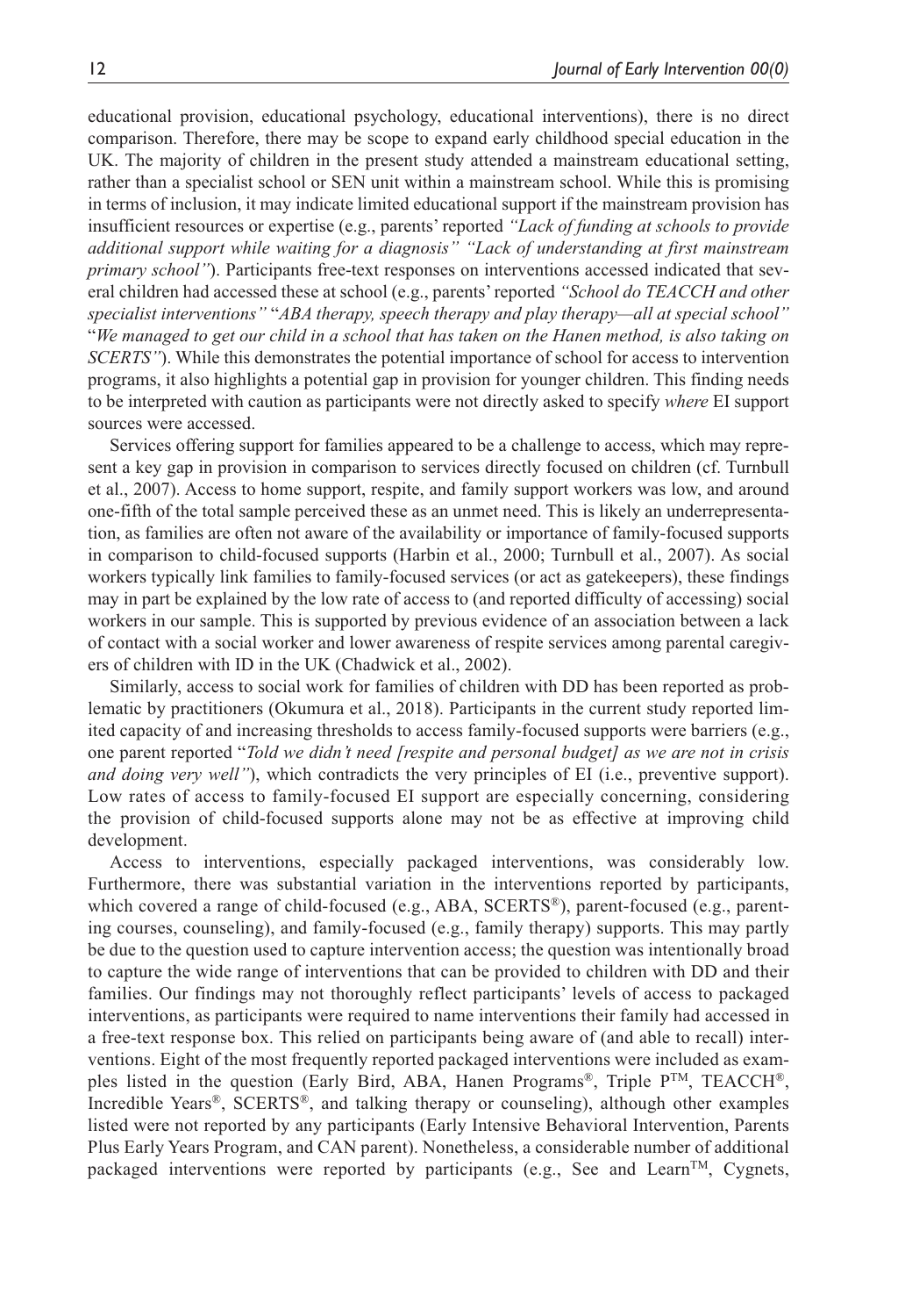educational provision, educational psychology, educational interventions), there is no direct comparison. Therefore, there may be scope to expand early childhood special education in the UK. The majority of children in the present study attended a mainstream educational setting, rather than a specialist school or SEN unit within a mainstream school. While this is promising in terms of inclusion, it may indicate limited educational support if the mainstream provision has insufficient resources or expertise (e.g., parents' reported *"Lack of funding at schools to provide additional support while waiting for a diagnosis" "Lack of understanding at first mainstream primary school"*). Participants free-text responses on interventions accessed indicated that several children had accessed these at school (e.g., parents' reported *"School do TEACCH and other specialist interventions"* "*ABA therapy, speech therapy and play therapy—all at special school"* "*We managed to get our child in a school that has taken on the Hanen method, is also taking on SCERTS"*). While this demonstrates the potential importance of school for access to intervention programs, it also highlights a potential gap in provision for younger children. This finding needs to be interpreted with caution as participants were not directly asked to specify *where* EI support sources were accessed.

Services offering support for families appeared to be a challenge to access, which may represent a key gap in provision in comparison to services directly focused on children (cf. Turnbull et al., 2007). Access to home support, respite, and family support workers was low, and around one-fifth of the total sample perceived these as an unmet need. This is likely an underrepresentation, as families are often not aware of the availability or importance of family-focused supports in comparison to child-focused supports (Harbin et al., 2000; Turnbull et al., 2007). As social workers typically link families to family-focused services (or act as gatekeepers), these findings may in part be explained by the low rate of access to (and reported difficulty of accessing) social workers in our sample. This is supported by previous evidence of an association between a lack of contact with a social worker and lower awareness of respite services among parental caregivers of children with ID in the UK (Chadwick et al., 2002).

Similarly, access to social work for families of children with DD has been reported as problematic by practitioners (Okumura et al., 2018). Participants in the current study reported limited capacity of and increasing thresholds to access family-focused supports were barriers (e.g., one parent reported "*Told we didn't need [respite and personal budget] as we are not in crisis and doing very well"*), which contradicts the very principles of EI (i.e., preventive support). Low rates of access to family-focused EI support are especially concerning, considering the provision of child-focused supports alone may not be as effective at improving child development.

Access to interventions, especially packaged interventions, was considerably low. Furthermore, there was substantial variation in the interventions reported by participants, which covered a range of child-focused (e.g., ABA, SCERTS®), parent-focused (e.g., parenting courses, counseling), and family-focused (e.g., family therapy) supports. This may partly be due to the question used to capture intervention access; the question was intentionally broad to capture the wide range of interventions that can be provided to children with DD and their families. Our findings may not thoroughly reflect participants' levels of access to packaged interventions, as participants were required to name interventions their family had accessed in a free-text response box. This relied on participants being aware of (and able to recall) interventions. Eight of the most frequently reported packaged interventions were included as examples listed in the question (Early Bird, ABA, Hanen Programs<sup>®</sup>, Triple  $P^{TM}$ , TEACCH<sup>®</sup>, Incredible Years®, SCERTS®, and talking therapy or counseling), although other examples listed were not reported by any participants (Early Intensive Behavioral Intervention, Parents Plus Early Years Program, and CAN parent). Nonetheless, a considerable number of additional packaged interventions were reported by participants (e.g., See and Learn<sup>TM</sup>, Cygnets,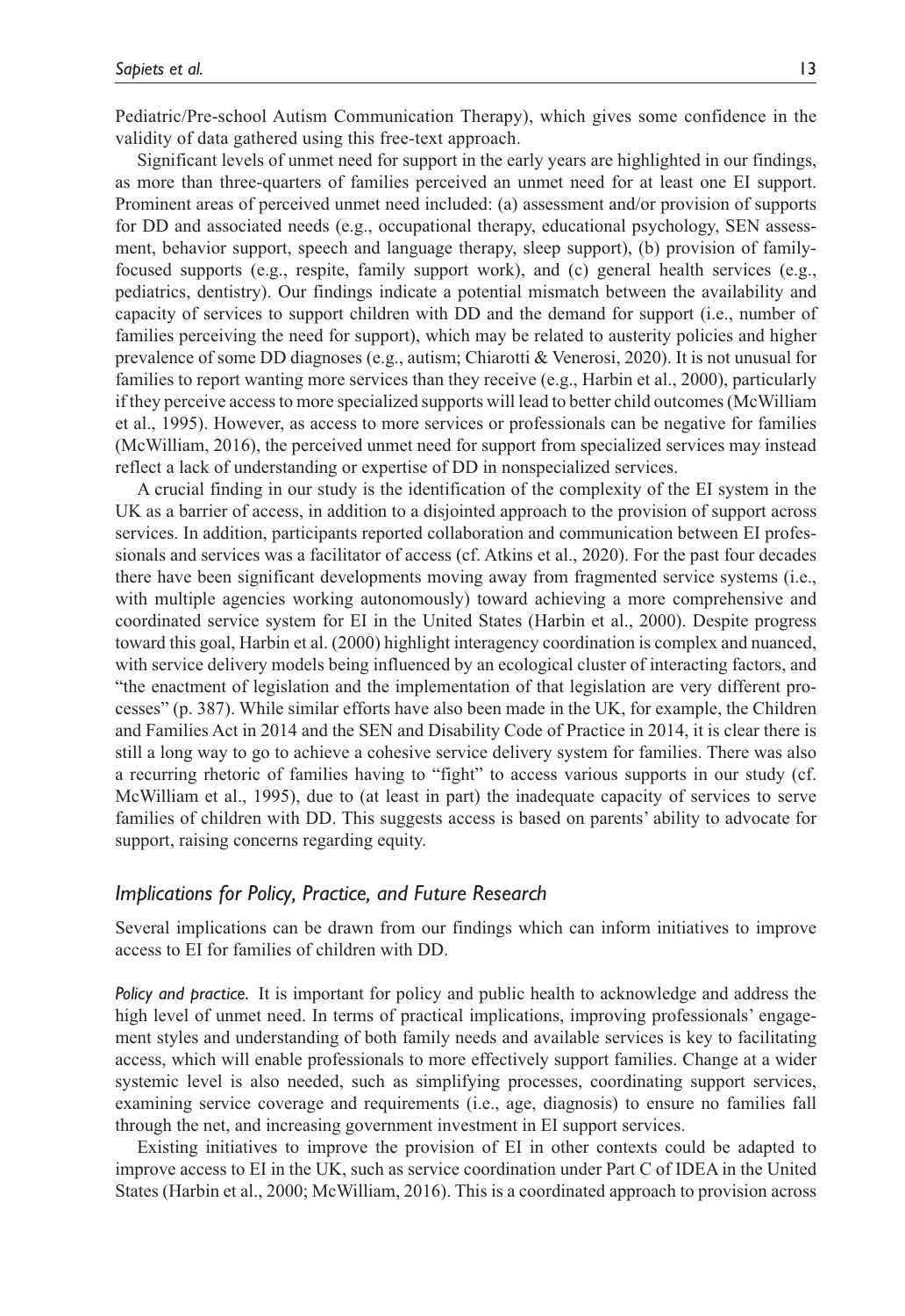Pediatric/Pre-school Autism Communication Therapy), which gives some confidence in the validity of data gathered using this free-text approach.

Significant levels of unmet need for support in the early years are highlighted in our findings, as more than three-quarters of families perceived an unmet need for at least one EI support. Prominent areas of perceived unmet need included: (a) assessment and/or provision of supports for DD and associated needs (e.g., occupational therapy, educational psychology, SEN assessment, behavior support, speech and language therapy, sleep support), (b) provision of familyfocused supports (e.g., respite, family support work), and (c) general health services (e.g., pediatrics, dentistry). Our findings indicate a potential mismatch between the availability and capacity of services to support children with DD and the demand for support (i.e., number of families perceiving the need for support), which may be related to austerity policies and higher prevalence of some DD diagnoses (e.g., autism; Chiarotti & Venerosi, 2020). It is not unusual for families to report wanting more services than they receive (e.g., Harbin et al., 2000), particularly if they perceive access to more specialized supports will lead to better child outcomes (McWilliam et al., 1995). However, as access to more services or professionals can be negative for families (McWilliam, 2016), the perceived unmet need for support from specialized services may instead reflect a lack of understanding or expertise of DD in nonspecialized services.

A crucial finding in our study is the identification of the complexity of the EI system in the UK as a barrier of access, in addition to a disjointed approach to the provision of support across services. In addition, participants reported collaboration and communication between EI professionals and services was a facilitator of access (cf. Atkins et al., 2020). For the past four decades there have been significant developments moving away from fragmented service systems (i.e., with multiple agencies working autonomously) toward achieving a more comprehensive and coordinated service system for EI in the United States (Harbin et al., 2000). Despite progress toward this goal, Harbin et al. (2000) highlight interagency coordination is complex and nuanced, with service delivery models being influenced by an ecological cluster of interacting factors, and "the enactment of legislation and the implementation of that legislation are very different processes" (p. 387). While similar efforts have also been made in the UK, for example, the Children and Families Act in 2014 and the SEN and Disability Code of Practice in 2014, it is clear there is still a long way to go to achieve a cohesive service delivery system for families. There was also a recurring rhetoric of families having to "fight" to access various supports in our study (cf. McWilliam et al., 1995), due to (at least in part) the inadequate capacity of services to serve families of children with DD. This suggests access is based on parents' ability to advocate for support, raising concerns regarding equity.

### *Implications for Policy, Practice, and Future Research*

Several implications can be drawn from our findings which can inform initiatives to improve access to EI for families of children with DD.

*Policy and practice.* It is important for policy and public health to acknowledge and address the high level of unmet need. In terms of practical implications, improving professionals' engagement styles and understanding of both family needs and available services is key to facilitating access, which will enable professionals to more effectively support families. Change at a wider systemic level is also needed, such as simplifying processes, coordinating support services, examining service coverage and requirements (i.e., age, diagnosis) to ensure no families fall through the net, and increasing government investment in EI support services.

Existing initiatives to improve the provision of EI in other contexts could be adapted to improve access to EI in the UK, such as service coordination under Part C of IDEA in the United States (Harbin et al., 2000; McWilliam, 2016). This is a coordinated approach to provision across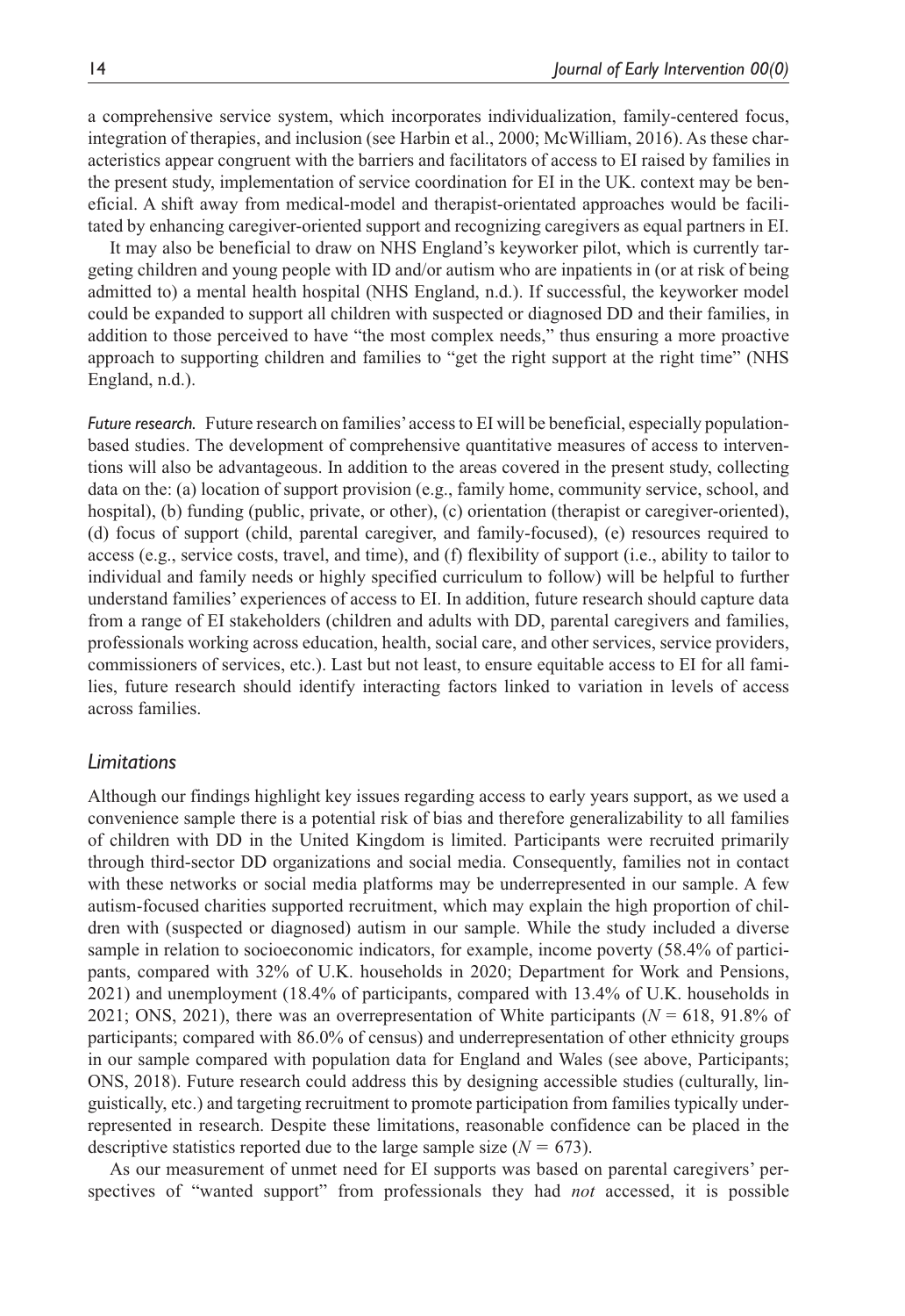a comprehensive service system, which incorporates individualization, family-centered focus, integration of therapies, and inclusion (see Harbin et al., 2000; McWilliam, 2016). As these characteristics appear congruent with the barriers and facilitators of access to EI raised by families in the present study, implementation of service coordination for EI in the UK. context may be beneficial. A shift away from medical-model and therapist-orientated approaches would be facilitated by enhancing caregiver-oriented support and recognizing caregivers as equal partners in EI.

It may also be beneficial to draw on NHS England's keyworker pilot, which is currently targeting children and young people with ID and/or autism who are inpatients in (or at risk of being admitted to) a mental health hospital (NHS England, n.d.). If successful, the keyworker model could be expanded to support all children with suspected or diagnosed DD and their families, in addition to those perceived to have "the most complex needs," thus ensuring a more proactive approach to supporting children and families to "get the right support at the right time" (NHS England, n.d.).

*Future research.* Future research on families' access to EI will be beneficial, especially populationbased studies. The development of comprehensive quantitative measures of access to interventions will also be advantageous. In addition to the areas covered in the present study, collecting data on the: (a) location of support provision (e.g., family home, community service, school, and hospital), (b) funding (public, private, or other), (c) orientation (therapist or caregiver-oriented), (d) focus of support (child, parental caregiver, and family-focused), (e) resources required to access (e.g., service costs, travel, and time), and (f) flexibility of support (i.e., ability to tailor to individual and family needs or highly specified curriculum to follow) will be helpful to further understand families' experiences of access to EI. In addition, future research should capture data from a range of EI stakeholders (children and adults with DD, parental caregivers and families, professionals working across education, health, social care, and other services, service providers, commissioners of services, etc.). Last but not least, to ensure equitable access to EI for all families, future research should identify interacting factors linked to variation in levels of access across families.

### *Limitations*

Although our findings highlight key issues regarding access to early years support, as we used a convenience sample there is a potential risk of bias and therefore generalizability to all families of children with DD in the United Kingdom is limited. Participants were recruited primarily through third-sector DD organizations and social media. Consequently, families not in contact with these networks or social media platforms may be underrepresented in our sample. A few autism-focused charities supported recruitment, which may explain the high proportion of children with (suspected or diagnosed) autism in our sample. While the study included a diverse sample in relation to socioeconomic indicators, for example, income poverty (58.4% of participants, compared with 32% of U.K. households in 2020; Department for Work and Pensions, 2021) and unemployment (18.4% of participants, compared with 13.4% of U.K. households in 2021; ONS, 2021), there was an overrepresentation of White participants ( $N = 618$ , 91.8% of participants; compared with 86.0% of census) and underrepresentation of other ethnicity groups in our sample compared with population data for England and Wales (see above, Participants; ONS, 2018). Future research could address this by designing accessible studies (culturally, linguistically, etc.) and targeting recruitment to promote participation from families typically underrepresented in research. Despite these limitations, reasonable confidence can be placed in the descriptive statistics reported due to the large sample size  $(N = 673)$ .

As our measurement of unmet need for EI supports was based on parental caregivers' perspectives of "wanted support" from professionals they had *not* accessed, it is possible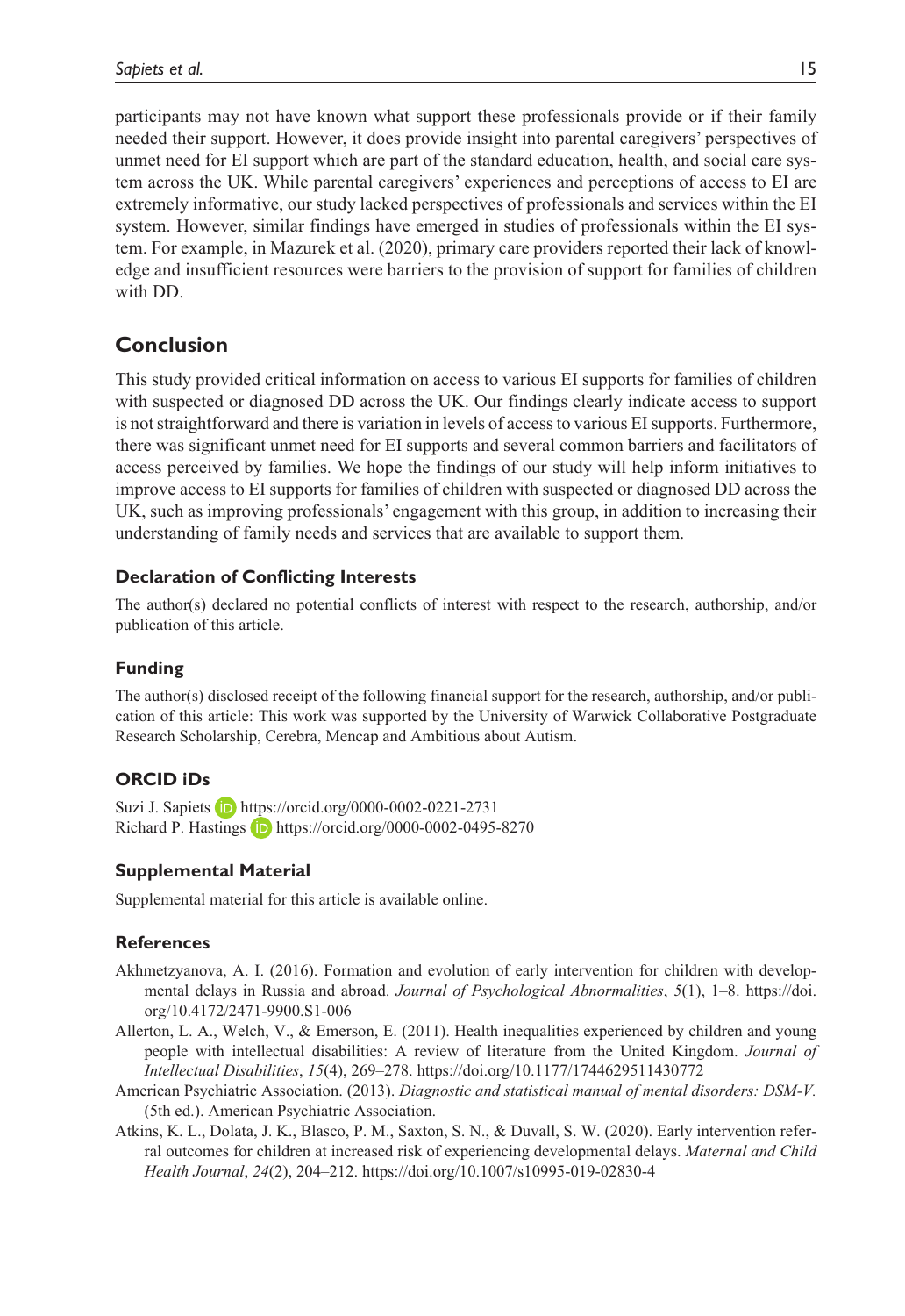participants may not have known what support these professionals provide or if their family needed their support. However, it does provide insight into parental caregivers' perspectives of unmet need for EI support which are part of the standard education, health, and social care system across the UK. While parental caregivers' experiences and perceptions of access to EI are extremely informative, our study lacked perspectives of professionals and services within the EI system. However, similar findings have emerged in studies of professionals within the EI system. For example, in Mazurek et al. (2020), primary care providers reported their lack of knowledge and insufficient resources were barriers to the provision of support for families of children with DD.

## **Conclusion**

This study provided critical information on access to various EI supports for families of children with suspected or diagnosed DD across the UK. Our findings clearly indicate access to support is not straightforward and there is variation in levels of access to various EI supports. Furthermore, there was significant unmet need for EI supports and several common barriers and facilitators of access perceived by families. We hope the findings of our study will help inform initiatives to improve access to EI supports for families of children with suspected or diagnosed DD across the UK, such as improving professionals' engagement with this group, in addition to increasing their understanding of family needs and services that are available to support them.

### **Declaration of Conflicting Interests**

The author(s) declared no potential conflicts of interest with respect to the research, authorship, and/or publication of this article.

### **Funding**

The author(s) disclosed receipt of the following financial support for the research, authorship, and/or publication of this article: This work was supported by the University of Warwick Collaborative Postgraduate Research Scholarship, Cerebra, Mencap and Ambitious about Autism.

### **ORCID iDs**

Suzi J. Sapiets **iD** <https://orcid.org/0000-0002-0221-2731> Richard P. Hastings  $\Box$  <https://orcid.org/0000-0002-0495-8270>

### **Supplemental Material**

Supplemental material for this article is available online.

### **References**

- Akhmetzyanova, A. I. (2016). Formation and evolution of early intervention for children with developmental delays in Russia and abroad. *Journal of Psychological Abnormalities*, *5*(1), 1–8. [https://doi.](https://doi.org/10.4172/2471-9900.S1-006) [org/10.4172/2471-9900.S1-006](https://doi.org/10.4172/2471-9900.S1-006)
- Allerton, L. A., Welch, V., & Emerson, E. (2011). Health inequalities experienced by children and young people with intellectual disabilities: A review of literature from the United Kingdom. *Journal of Intellectual Disabilities*, *15*(4), 269–278.<https://doi.org/10.1177/1744629511430772>
- American Psychiatric Association. (2013). *Diagnostic and statistical manual of mental disorders: DSM-V.*  (5th ed.). American Psychiatric Association.
- Atkins, K. L., Dolata, J. K., Blasco, P. M., Saxton, S. N., & Duvall, S. W. (2020). Early intervention referral outcomes for children at increased risk of experiencing developmental delays. *Maternal and Child Health Journal*, *24*(2), 204–212.<https://doi.org/10.1007/s10995-019-02830-4>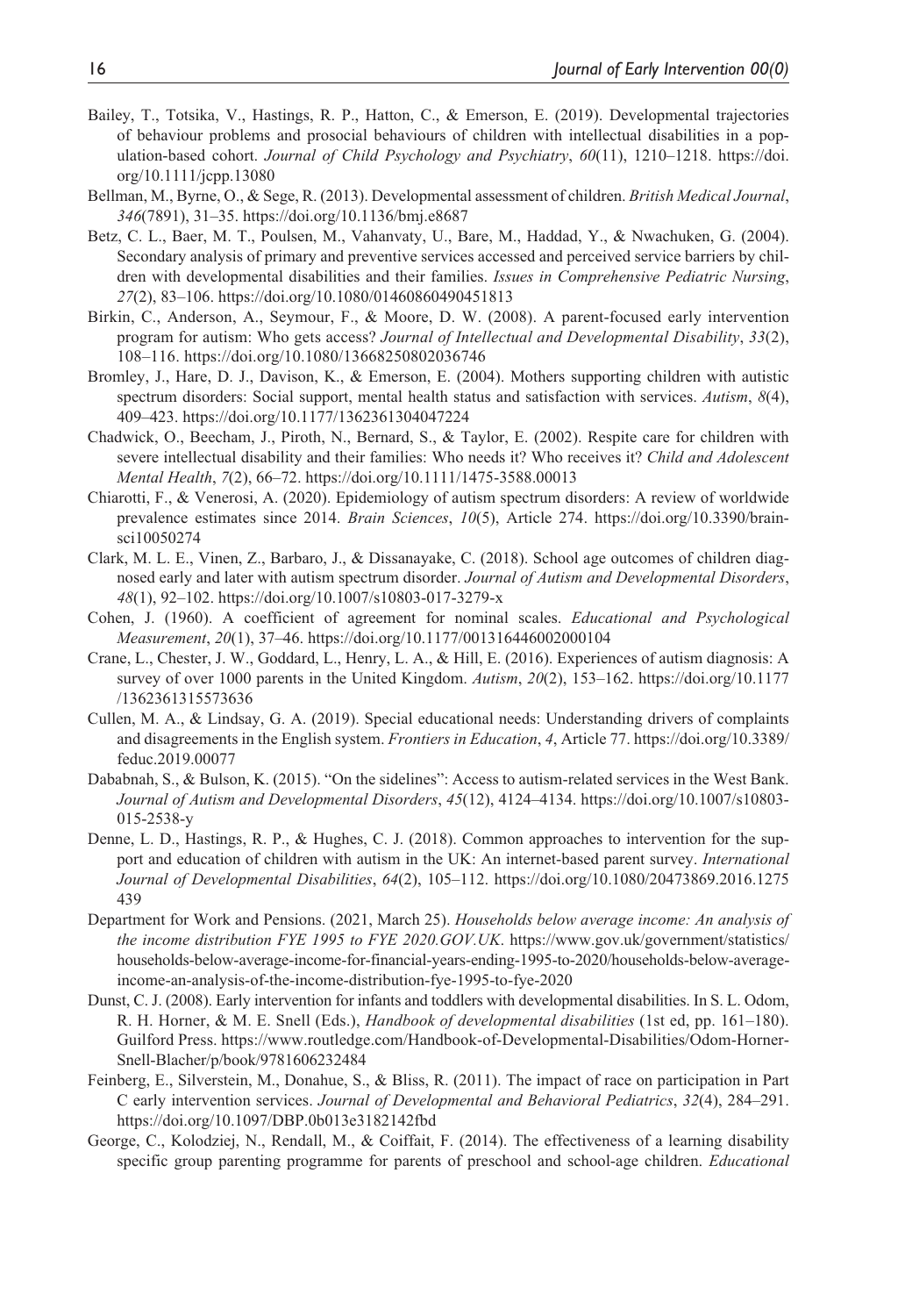- Bailey, T., Totsika, V., Hastings, R. P., Hatton, C., & Emerson, E. (2019). Developmental trajectories of behaviour problems and prosocial behaviours of children with intellectual disabilities in a population-based cohort. *Journal of Child Psychology and Psychiatry*, *60*(11), 1210–1218. [https://doi.](https://doi.org/10.1111/jcpp.13080) [org/10.1111/jcpp.13080](https://doi.org/10.1111/jcpp.13080)
- Bellman, M., Byrne, O., & Sege, R. (2013). Developmental assessment of children. *British Medical Journal*, *346*(7891), 31–35. <https://doi.org/10.1136/bmj.e8687>
- Betz, C. L., Baer, M. T., Poulsen, M., Vahanvaty, U., Bare, M., Haddad, Y., & Nwachuken, G. (2004). Secondary analysis of primary and preventive services accessed and perceived service barriers by children with developmental disabilities and their families. *Issues in Comprehensive Pediatric Nursing*, *27*(2), 83–106.<https://doi.org/10.1080/01460860490451813>
- Birkin, C., Anderson, A., Seymour, F., & Moore, D. W. (2008). A parent-focused early intervention program for autism: Who gets access? *Journal of Intellectual and Developmental Disability*, *33*(2), 108–116. <https://doi.org/10.1080/13668250802036746>
- Bromley, J., Hare, D. J., Davison, K., & Emerson, E. (2004). Mothers supporting children with autistic spectrum disorders: Social support, mental health status and satisfaction with services. *Autism*, *8*(4), 409–423.<https://doi.org/10.1177/1362361304047224>
- Chadwick, O., Beecham, J., Piroth, N., Bernard, S., & Taylor, E. (2002). Respite care for children with severe intellectual disability and their families: Who needs it? Who receives it? *Child and Adolescent Mental Health*, *7*(2), 66–72.<https://doi.org/10.1111/1475-3588.00013>
- Chiarotti, F., & Venerosi, A. (2020). Epidemiology of autism spectrum disorders: A review of worldwide prevalence estimates since 2014. *Brain Sciences*, *10*(5), Article 274. [https://doi.org/10.3390/brain](https://doi.org/10.3390/brainsci10050274)[sci10050274](https://doi.org/10.3390/brainsci10050274)
- Clark, M. L. E., Vinen, Z., Barbaro, J., & Dissanayake, C. (2018). School age outcomes of children diagnosed early and later with autism spectrum disorder. *Journal of Autism and Developmental Disorders*, *48*(1), 92–102.<https://doi.org/10.1007/s10803-017-3279-x>
- Cohen, J. (1960). A coefficient of agreement for nominal scales. *Educational and Psychological Measurement*, *20*(1), 37–46.<https://doi.org/10.1177/001316446002000104>
- Crane, L., Chester, J. W., Goddard, L., Henry, L. A., & Hill, E. (2016). Experiences of autism diagnosis: A survey of over 1000 parents in the United Kingdom. *Autism*, *20*(2), 153–162. [https://doi.org/10.1177](https://doi.org/10.1177/1362361315573636) [/1362361315573636](https://doi.org/10.1177/1362361315573636)
- Cullen, M. A., & Lindsay, G. A. (2019). Special educational needs: Understanding drivers of complaints and disagreements in the English system. *Frontiers in Education*, *4*, Article 77. [https://doi.org/10.3389/](https://doi.org/10.3389/feduc.2019.00077) [feduc.2019.00077](https://doi.org/10.3389/feduc.2019.00077)
- Dababnah, S., & Bulson, K. (2015). "On the sidelines": Access to autism-related services in the West Bank. *Journal of Autism and Developmental Disorders*, *45*(12), 4124–4134. [https://doi.org/10.1007/s10803-](https://doi.org/10.1007/s10803-015-2538-y) [015-2538-y](https://doi.org/10.1007/s10803-015-2538-y)
- Denne, L. D., Hastings, R. P., & Hughes, C. J. (2018). Common approaches to intervention for the support and education of children with autism in the UK: An internet-based parent survey. *International Journal of Developmental Disabilities*, *64*(2), 105–112. [https://doi.org/10.1080/20473869.2016.1275](https://doi.org/10.1080/20473869.2016.1275439) [439](https://doi.org/10.1080/20473869.2016.1275439)
- Department for Work and Pensions. (2021, March 25). *Households below average income: An analysis of the income distribution FYE 1995 to FYE 2020.GOV.UK*. [https://www.gov.uk/government/statistics/](https://www.gov.uk/government/statistics/households-below-average-income-for-financial-years-ending-1995-to-2020/households-below-average-income-an-analysis-of-the-income-distribution-fye-1995-to-fye-2020) [households-below-average-income-for-financial-years-ending-1995-to-2020/households-below-average](https://www.gov.uk/government/statistics/households-below-average-income-for-financial-years-ending-1995-to-2020/households-below-average-income-an-analysis-of-the-income-distribution-fye-1995-to-fye-2020)[income-an-analysis-of-the-income-distribution-fye-1995-to-fye-2020](https://www.gov.uk/government/statistics/households-below-average-income-for-financial-years-ending-1995-to-2020/households-below-average-income-an-analysis-of-the-income-distribution-fye-1995-to-fye-2020)
- Dunst, C. J. (2008). Early intervention for infants and toddlers with developmental disabilities. In S. L. Odom, R. H. Horner, & M. E. Snell (Eds.), *Handbook of developmental disabilities* (1st ed, pp. 161–180). Guilford Press. [https://www.routledge.com/Handbook-of-Developmental-Disabilities/Odom-Horner-](https://www.routledge.com/Handbook-of-Developmental-Disabilities/Odom-Horner-Snell-Blacher/p/book/9781606232484)[Snell-Blacher/p/book/9781606232484](https://www.routledge.com/Handbook-of-Developmental-Disabilities/Odom-Horner-Snell-Blacher/p/book/9781606232484)
- Feinberg, E., Silverstein, M., Donahue, S., & Bliss, R. (2011). The impact of race on participation in Part C early intervention services. *Journal of Developmental and Behavioral Pediatrics*, *32*(4), 284–291. <https://doi.org/10.1097/DBP.0b013e3182142fbd>
- George, C., Kolodziej, N., Rendall, M., & Coiffait, F. (2014). The effectiveness of a learning disability specific group parenting programme for parents of preschool and school-age children. *Educational*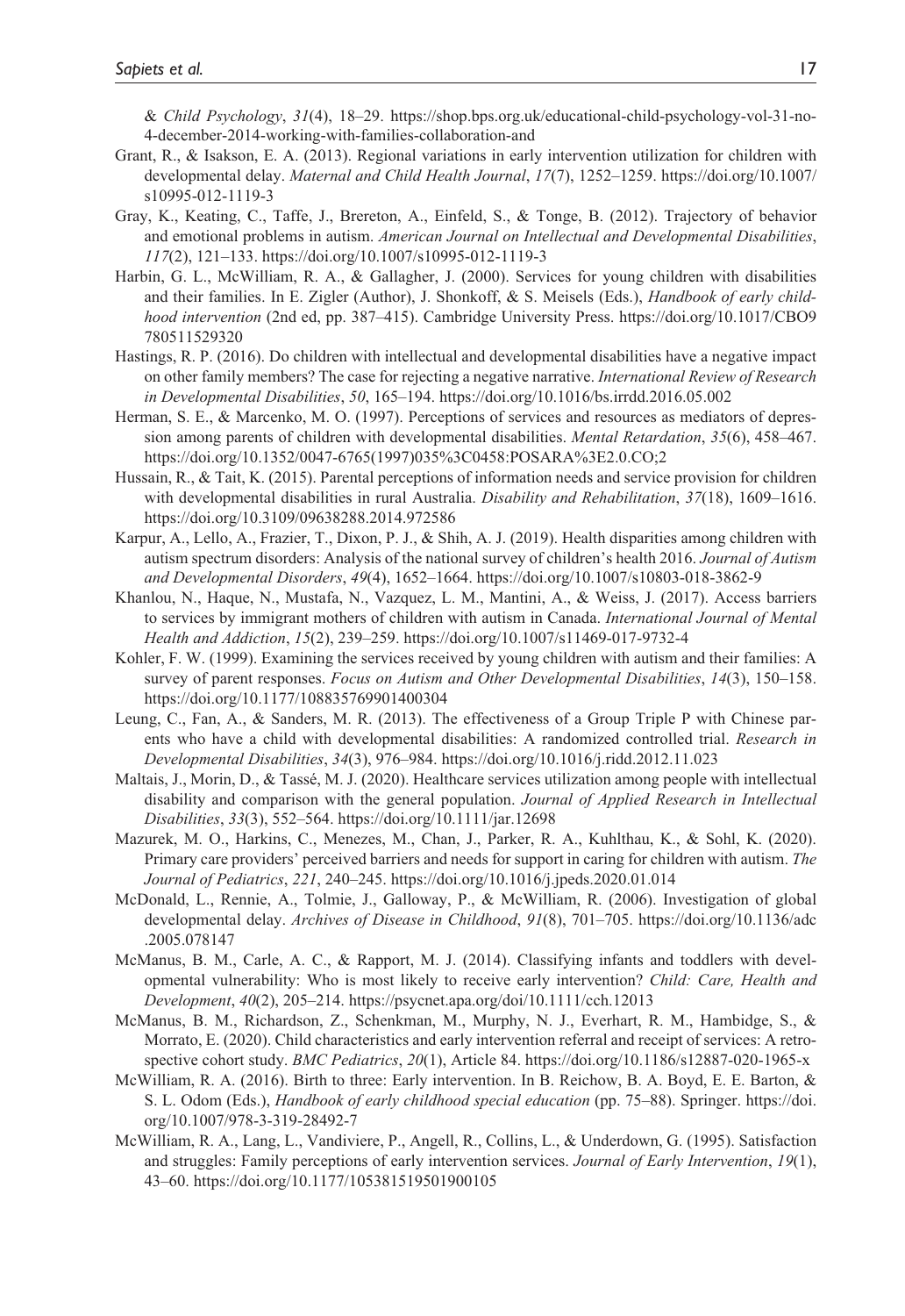& *Child Psychology*, *31*(4), 18–29. [https://shop.bps.org.uk/educational-child-psychology-vol-31-no-](https://shop.bps.org.uk/educational-child-psychology-vol-31-no-4-december-2014-working-with-families-collaboration-and)[4-december-2014-working-with-families-collaboration-and](https://shop.bps.org.uk/educational-child-psychology-vol-31-no-4-december-2014-working-with-families-collaboration-and)

- Grant, R., & Isakson, E. A. (2013). Regional variations in early intervention utilization for children with developmental delay. *Maternal and Child Health Journal*, *17*(7), 1252–1259. [https://doi.org/10.1007/](https://doi.org/10.1007/s10995-012-1119-3) [s10995-012-1119-3](https://doi.org/10.1007/s10995-012-1119-3)
- Gray, K., Keating, C., Taffe, J., Brereton, A., Einfeld, S., & Tonge, B. (2012). Trajectory of behavior and emotional problems in autism. *American Journal on Intellectual and Developmental Disabilities*, *117*(2), 121–133.<https://doi.org/10.1007/s10995-012-1119-3>
- Harbin, G. L., McWilliam, R. A., & Gallagher, J. (2000). Services for young children with disabilities and their families. In E. Zigler (Author), J. Shonkoff, & S. Meisels (Eds.), *Handbook of early childhood intervention* (2nd ed, pp. 387–415). Cambridge University Press. [https://doi.org/10.1017/CBO9](https://doi.org/10.1017/CBO9780511529320) [780511529320](https://doi.org/10.1017/CBO9780511529320)
- Hastings, R. P. (2016). Do children with intellectual and developmental disabilities have a negative impact on other family members? The case for rejecting a negative narrative. *International Review of Research in Developmental Disabilities*, *50*, 165–194.<https://doi.org/10.1016/bs.irrdd.2016.05.002>
- Herman, S. E., & Marcenko, M. O. (1997). Perceptions of services and resources as mediators of depression among parents of children with developmental disabilities. *Mental Retardation*, *35*(6), 458–467. [https://doi.org/10.1352/0047-6765\(1997\)035%3C0458:POSARA%3E2.0.CO;2](https://doi.org/10.1352/0047-6765(1997)035%3C0458:POSARA%3E2.0.CO;2)
- Hussain, R., & Tait, K. (2015). Parental perceptions of information needs and service provision for children with developmental disabilities in rural Australia. *Disability and Rehabilitation*, *37*(18), 1609–1616. <https://doi.org/10.3109/09638288.2014.972586>
- Karpur, A., Lello, A., Frazier, T., Dixon, P. J., & Shih, A. J. (2019). Health disparities among children with autism spectrum disorders: Analysis of the national survey of children's health 2016. *Journal of Autism and Developmental Disorders*, *49*(4), 1652–1664. <https://doi.org/10.1007/s10803-018-3862-9>
- Khanlou, N., Haque, N., Mustafa, N., Vazquez, L. M., Mantini, A., & Weiss, J. (2017). Access barriers to services by immigrant mothers of children with autism in Canada. *International Journal of Mental Health and Addiction*, *15*(2), 239–259. <https://doi.org/10.1007/s11469-017-9732-4>
- Kohler, F. W. (1999). Examining the services received by young children with autism and their families: A survey of parent responses. *Focus on Autism and Other Developmental Disabilities*, *14*(3), 150–158. <https://doi.org/10.1177/108835769901400304>
- Leung, C., Fan, A., & Sanders, M. R. (2013). The effectiveness of a Group Triple P with Chinese parents who have a child with developmental disabilities: A randomized controlled trial. *Research in Developmental Disabilities*, *34*(3), 976–984. <https://doi.org/10.1016/j.ridd.2012.11.023>
- Maltais, J., Morin, D., & Tassé, M. J. (2020). Healthcare services utilization among people with intellectual disability and comparison with the general population. *Journal of Applied Research in Intellectual Disabilities*, *33*(3), 552–564.<https://doi.org/10.1111/jar.12698>
- Mazurek, M. O., Harkins, C., Menezes, M., Chan, J., Parker, R. A., Kuhlthau, K., & Sohl, K. (2020). Primary care providers' perceived barriers and needs for support in caring for children with autism. *The Journal of Pediatrics*, *221*, 240–245. <https://doi.org/10.1016/j.jpeds.2020.01.014>
- McDonald, L., Rennie, A., Tolmie, J., Galloway, P., & McWilliam, R. (2006). Investigation of global developmental delay. *Archives of Disease in Childhood*, *91*(8), 701–705. [https://doi.org/10.1136/adc](https://doi.org/10.1136/adc.2005.078147) [.2005.078147](https://doi.org/10.1136/adc.2005.078147)
- McManus, B. M., Carle, A. C., & Rapport, M. J. (2014). Classifying infants and toddlers with developmental vulnerability: Who is most likely to receive early intervention? *Child: Care, Health and Development*, *40*(2), 205–214. <https://psycnet.apa.org/doi/10.1111/cch.12013>
- McManus, B. M., Richardson, Z., Schenkman, M., Murphy, N. J., Everhart, R. M., Hambidge, S., & Morrato, E. (2020). Child characteristics and early intervention referral and receipt of services: A retrospective cohort study. *BMC Pediatrics*, *20*(1), Article 84.<https://doi.org/10.1186/s12887-020-1965-x>
- McWilliam, R. A. (2016). Birth to three: Early intervention. In B. Reichow, B. A. Boyd, E. E. Barton, & S. L. Odom (Eds.), *Handbook of early childhood special education* (pp. 75–88). Springer. [https://doi.](https://doi.org/10.1007/978-3-319-28492-7) [org/10.1007/978-3-319-28492-7](https://doi.org/10.1007/978-3-319-28492-7)
- McWilliam, R. A., Lang, L., Vandiviere, P., Angell, R., Collins, L., & Underdown, G. (1995). Satisfaction and struggles: Family perceptions of early intervention services. *Journal of Early Intervention*, *19*(1), 43–60. <https://doi.org/10.1177/105381519501900105>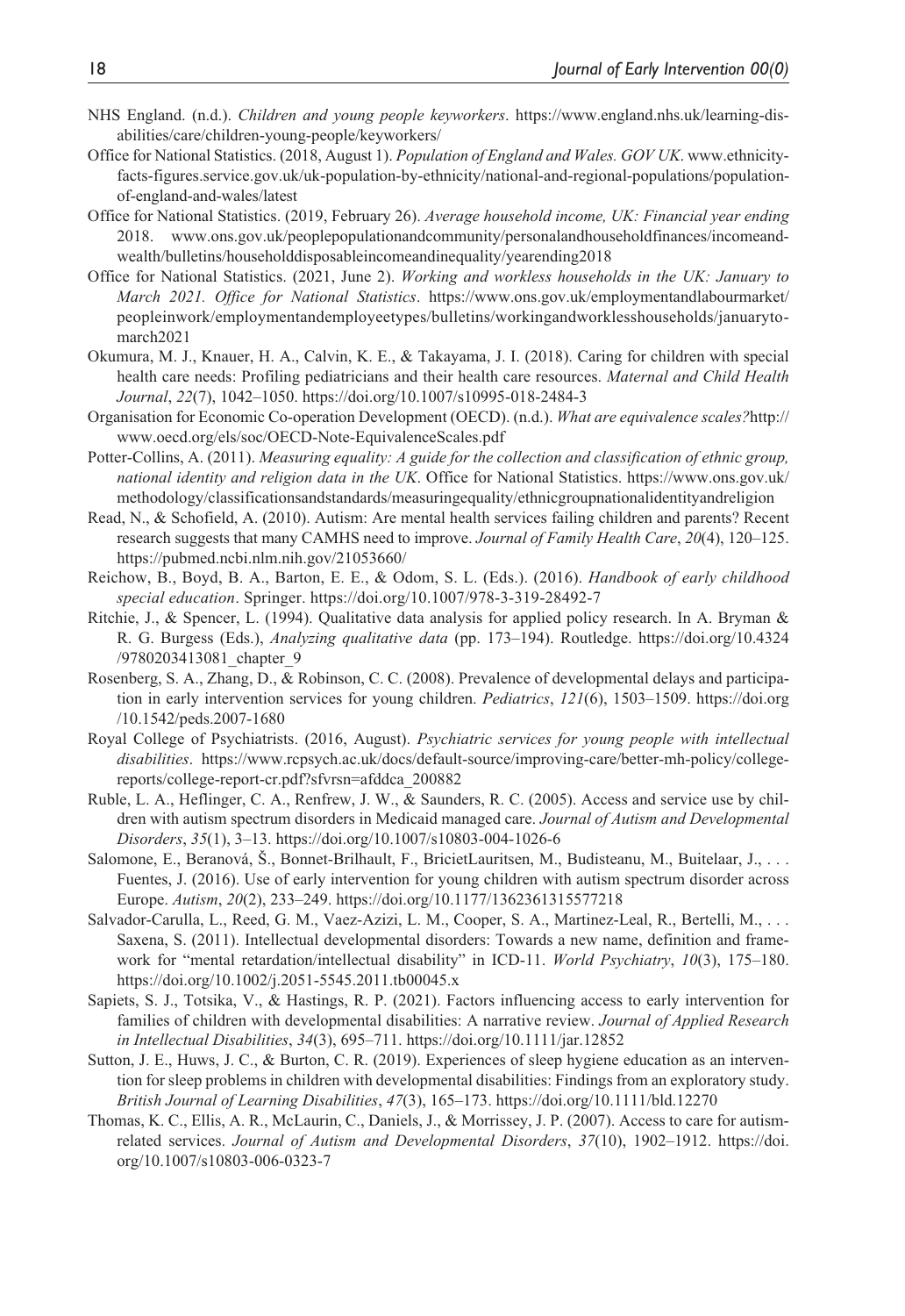- NHS England. (n.d.). *Children and young people keyworkers*. [https://www.england.nhs.uk/learning-dis](https://www.england.nhs.uk/learning-disabilities/care/children-young-people/keyworkers/)[abilities/care/children-young-people/keyworkers/](https://www.england.nhs.uk/learning-disabilities/care/children-young-people/keyworkers/)
- Office for National Statistics. (2018, August 1). *Population of England and Wales. GOV UK*. [www.ethnicity](www.ethnicity-facts-figures.service.gov.uk/uk-population-by-ethnicity/national-and-regional-populations/population-of-england-and-wales/latest)[facts-figures.service.gov.uk/uk-population-by-ethnicity/national-and-regional-populations/population](www.ethnicity-facts-figures.service.gov.uk/uk-population-by-ethnicity/national-and-regional-populations/population-of-england-and-wales/latest)[of-england-and-wales/latest](www.ethnicity-facts-figures.service.gov.uk/uk-population-by-ethnicity/national-and-regional-populations/population-of-england-and-wales/latest)
- Office for National Statistics. (2019, February 26). *Average household income, UK: Financial year ending* 2018. [www.ons.gov.uk/peoplepopulationandcommunity/personalandhouseholdfinances/incomeand](www.ons.gov.uk/peoplepopulationandcommunity/personalandhouseholdfinances/incomeandwealth/bulletins/householddisposableincomeandinequality/yearending2018)[wealth/bulletins/householddisposableincomeandinequality/yearending2018](www.ons.gov.uk/peoplepopulationandcommunity/personalandhouseholdfinances/incomeandwealth/bulletins/householddisposableincomeandinequality/yearending2018)
- Office for National Statistics. (2021, June 2). *Working and workless households in the UK: January to March 2021. Office for National Statistics*. [https://www.ons.gov.uk/employmentandlabourmarket/](https://www.ons.gov.uk/employmentandlabourmarket/peopleinwork/employmentandemployeetypes/bulletins/workingandworklesshouseholds/januarytomarch2021) [peopleinwork/employmentandemployeetypes/bulletins/workingandworklesshouseholds/januaryto](https://www.ons.gov.uk/employmentandlabourmarket/peopleinwork/employmentandemployeetypes/bulletins/workingandworklesshouseholds/januarytomarch2021)[march2021](https://www.ons.gov.uk/employmentandlabourmarket/peopleinwork/employmentandemployeetypes/bulletins/workingandworklesshouseholds/januarytomarch2021)
- Okumura, M. J., Knauer, H. A., Calvin, K. E., & Takayama, J. I. (2018). Caring for children with special health care needs: Profiling pediatricians and their health care resources. *Maternal and Child Health Journal*, *22*(7), 1042–1050.<https://doi.org/10.1007/s10995-018-2484-3>
- Organisation for Economic Co-operation Development (OECD). (n.d.). *What are equivalence scales?*[http://](http://www.oecd.org/els/soc/OECD-Note-EquivalenceScales.pdf) [www.oecd.org/els/soc/OECD-Note-EquivalenceScales.pdf](http://www.oecd.org/els/soc/OECD-Note-EquivalenceScales.pdf)
- Potter-Collins, A. (2011). *Measuring equality: A guide for the collection and classification of ethnic group, national identity and religion data in the UK*. Office for National Statistics. [https://www.ons.gov.uk/](https://www.ons.gov.uk/methodology/classificationsandstandards/measuringequality/ethnicgroupnationalidentityandreligion) [methodology/classificationsandstandards/measuringequality/ethnicgroupnationalidentityandreligion](https://www.ons.gov.uk/methodology/classificationsandstandards/measuringequality/ethnicgroupnationalidentityandreligion)
- Read, N., & Schofield, A. (2010). Autism: Are mental health services failing children and parents? Recent research suggests that many CAMHS need to improve. *Journal of Family Health Care*, *20*(4), 120–125. <https://pubmed.ncbi.nlm.nih.gov/21053660/>
- Reichow, B., Boyd, B. A., Barton, E. E., & Odom, S. L. (Eds.). (2016). *Handbook of early childhood special education*. Springer. <https://doi.org/10.1007/978-3-319-28492-7>
- Ritchie, J., & Spencer, L. (1994). Qualitative data analysis for applied policy research. In A. Bryman & R. G. Burgess (Eds.), *Analyzing qualitative data* (pp. 173–194). Routledge. [https://doi.org/10.4324](https://doi.org/10.4324/9780203413081_chapter_9) /9780203413081 chapter 9
- Rosenberg, S. A., Zhang, D., & Robinson, C. C. (2008). Prevalence of developmental delays and participation in early intervention services for young children. *Pediatrics*, *121*(6), 1503–1509. [https://doi.org](https://doi.org/10.1542/peds.2007-1680) [/10.1542/peds.2007-1680](https://doi.org/10.1542/peds.2007-1680)
- Royal College of Psychiatrists. (2016, August). *Psychiatric services for young people with intellectual disabilities*. [https://www.rcpsych.ac.uk/docs/default-source/improving-care/better-mh-policy/college](https://www.rcpsych.ac.uk/docs/default-source/improving-care/better-mh-policy/college-reports/college-report-cr.pdf?sfvrsn=afddca_200882)[reports/college-report-cr.pdf?sfvrsn=afddca\\_200882](https://www.rcpsych.ac.uk/docs/default-source/improving-care/better-mh-policy/college-reports/college-report-cr.pdf?sfvrsn=afddca_200882)
- Ruble, L. A., Heflinger, C. A., Renfrew, J. W., & Saunders, R. C. (2005). Access and service use by children with autism spectrum disorders in Medicaid managed care. *Journal of Autism and Developmental Disorders*, *35*(1), 3–13. <https://doi.org/10.1007/s10803-004-1026-6>
- Salomone, E., Beranová, Š., Bonnet-Brilhault, F., BricietLauritsen, M., Budisteanu, M., Buitelaar, J., . . . Fuentes, J. (2016). Use of early intervention for young children with autism spectrum disorder across Europe. *Autism*, *20*(2), 233–249. <https://doi.org/10.1177/1362361315577218>
- Salvador-Carulla, L., Reed, G. M., Vaez-Azizi, L. M., Cooper, S. A., Martinez-Leal, R., Bertelli, M., . . . Saxena, S. (2011). Intellectual developmental disorders: Towards a new name, definition and framework for "mental retardation/intellectual disability" in ICD-11. *World Psychiatry*, *10*(3), 175–180. <https://doi.org/10.1002/j.2051-5545.2011.tb00045.x>
- Sapiets, S. J., Totsika, V., & Hastings, R. P. (2021). Factors influencing access to early intervention for families of children with developmental disabilities: A narrative review. *Journal of Applied Research in Intellectual Disabilities*, *34*(3), 695–711.<https://doi.org/10.1111/jar.12852>
- Sutton, J. E., Huws, J. C., & Burton, C. R. (2019). Experiences of sleep hygiene education as an intervention for sleep problems in children with developmental disabilities: Findings from an exploratory study. *British Journal of Learning Disabilities*, *47*(3), 165–173. <https://doi.org/10.1111/bld.12270>
- Thomas, K. C., Ellis, A. R., McLaurin, C., Daniels, J., & Morrissey, J. P. (2007). Access to care for autismrelated services. *Journal of Autism and Developmental Disorders*, *37*(10), 1902–1912. [https://doi.](https://doi.org/10.1007/s10803-006-0323-7) [org/10.1007/s10803-006-0323-7](https://doi.org/10.1007/s10803-006-0323-7)